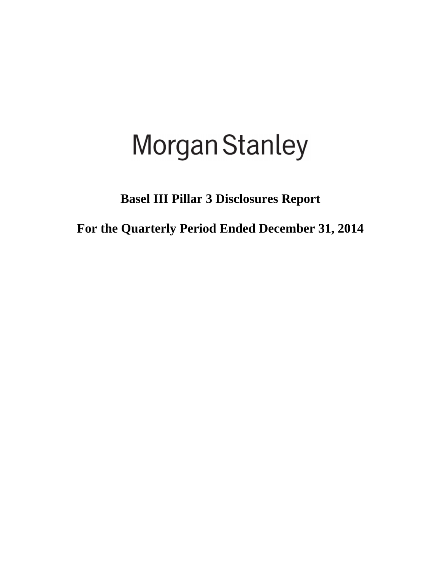# Morgan Stanley

**Basel III Pillar 3 Disclosures Report** 

**For the Quarterly Period Ended December 31, 2014**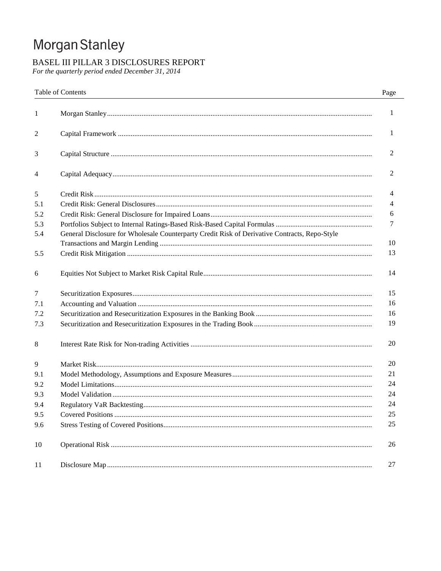# Morgan Stanley

# BASEL III PILLAR 3 DISCLOSURES REPORT

For the quarterly period ended December 31, 2014

|     | <b>Table of Contents</b>                                                                      | Page         |
|-----|-----------------------------------------------------------------------------------------------|--------------|
| 1   |                                                                                               | $\mathbf{1}$ |
| 2   |                                                                                               | 1            |
| 3   |                                                                                               | 2            |
| 4   |                                                                                               | 2            |
| 5   |                                                                                               | 4            |
| 5.1 |                                                                                               | 4            |
| 5.2 |                                                                                               | 6            |
| 5.3 |                                                                                               | 7            |
| 5.4 | General Disclosure for Wholesale Counterparty Credit Risk of Derivative Contracts, Repo-Style |              |
|     |                                                                                               | 10           |
| 5.5 |                                                                                               | 13           |
| 6   |                                                                                               | 14           |
| 7   |                                                                                               | 15           |
| 7.1 |                                                                                               | 16           |
| 7.2 |                                                                                               | 16           |
| 7.3 |                                                                                               | 19           |
| 8   |                                                                                               | 20           |
| 9   |                                                                                               | 20           |
| 9.1 |                                                                                               | 21           |
| 9.2 |                                                                                               | 24           |
| 9.3 |                                                                                               | 24           |
| 9.4 |                                                                                               | 24           |
| 9.5 |                                                                                               | 25           |
| 9.6 |                                                                                               | 25           |
| 10  |                                                                                               | 26           |
| 11  |                                                                                               | 27           |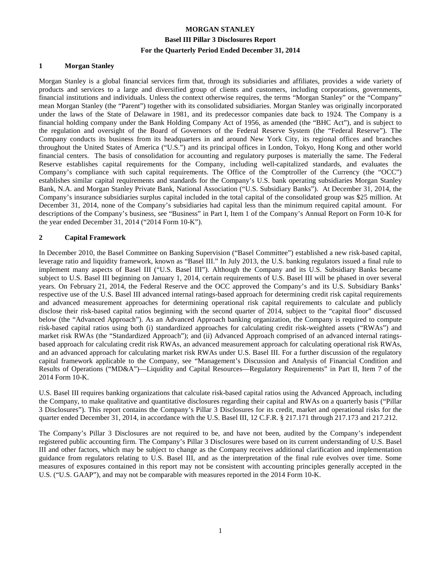#### **1 Morgan Stanley**

Morgan Stanley is a global financial services firm that, through its subsidiaries and affiliates, provides a wide variety of products and services to a large and diversified group of clients and customers, including corporations, governments, financial institutions and individuals. Unless the context otherwise requires, the terms "Morgan Stanley" or the "Company" mean Morgan Stanley (the "Parent") together with its consolidated subsidiaries. Morgan Stanley was originally incorporated under the laws of the State of Delaware in 1981, and its predecessor companies date back to 1924. The Company is a financial holding company under the Bank Holding Company Act of 1956, as amended (the "BHC Act"), and is subject to the regulation and oversight of the Board of Governors of the Federal Reserve System (the "Federal Reserve"). The Company conducts its business from its headquarters in and around New York City, its regional offices and branches throughout the United States of America ("U.S.") and its principal offices in London, Tokyo, Hong Kong and other world financial centers. The basis of consolidation for accounting and regulatory purposes is materially the same. The Federal Reserve establishes capital requirements for the Company, including well-capitalized standards, and evaluates the Company's compliance with such capital requirements. The Office of the Comptroller of the Currency (the "OCC") establishes similar capital requirements and standards for the Company's U.S. bank operating subsidiaries Morgan Stanley Bank, N.A. and Morgan Stanley Private Bank, National Association ("U.S. Subsidiary Banks"). At December 31, 2014, the Company's insurance subsidiaries surplus capital included in the total capital of the consolidated group was \$25 million. At December 31, 2014, none of the Company's subsidiaries had capital less than the minimum required capital amount. For descriptions of the Company's business, see "Business" in Part I, Item 1 of the Company's Annual Report on Form 10-K for the year ended December 31, 2014 ("2014 Form 10-K").

#### **2 Capital Framework**

In December 2010, the Basel Committee on Banking Supervision ("Basel Committee") established a new risk-based capital, leverage ratio and liquidity framework, known as "Basel III." In July 2013, the U.S. banking regulators issued a final rule to implement many aspects of Basel III ("U.S. Basel III"). Although the Company and its U.S. Subsidiary Banks became subject to U.S. Basel III beginning on January 1, 2014, certain requirements of U.S. Basel III will be phased in over several years. On February 21, 2014, the Federal Reserve and the OCC approved the Company's and its U.S. Subsidiary Banks' respective use of the U.S. Basel III advanced internal ratings-based approach for determining credit risk capital requirements and advanced measurement approaches for determining operational risk capital requirements to calculate and publicly disclose their risk-based capital ratios beginning with the second quarter of 2014, subject to the "capital floor" discussed below (the "Advanced Approach"). As an Advanced Approach banking organization, the Company is required to compute risk-based capital ratios using both (i) standardized approaches for calculating credit risk-weighted assets ("RWAs") and market risk RWAs (the "Standardized Approach"); and (ii) Advanced Approach comprised of an advanced internal ratingsbased approach for calculating credit risk RWAs, an advanced measurement approach for calculating operational risk RWAs, and an advanced approach for calculating market risk RWAs under U.S. Basel III. For a further discussion of the regulatory capital framework applicable to the Company, see "Management's Discussion and Analysis of Financial Condition and Results of Operations ("MD&A")—Liquidity and Capital Resources—Regulatory Requirements" in Part II, Item 7 of the 2014 Form 10-K.

U.S. Basel III requires banking organizations that calculate risk-based capital ratios using the Advanced Approach, including the Company, to make qualitative and quantitative disclosures regarding their capital and RWAs on a quarterly basis ("Pillar 3 Disclosures"). This report contains the Company's Pillar 3 Disclosures for its credit, market and operational risks for the quarter ended December 31, 2014, in accordance with the U.S. Basel III, 12 C.F.R. § 217.171 through 217.173 and 217.212.

The Company's Pillar 3 Disclosures are not required to be, and have not been, audited by the Company's independent registered public accounting firm. The Company's Pillar 3 Disclosures were based on its current understanding of U.S. Basel III and other factors, which may be subject to change as the Company receives additional clarification and implementation guidance from regulators relating to U.S. Basel III, and as the interpretation of the final rule evolves over time. Some measures of exposures contained in this report may not be consistent with accounting principles generally accepted in the U.S. ("U.S. GAAP"), and may not be comparable with measures reported in the 2014 Form 10-K.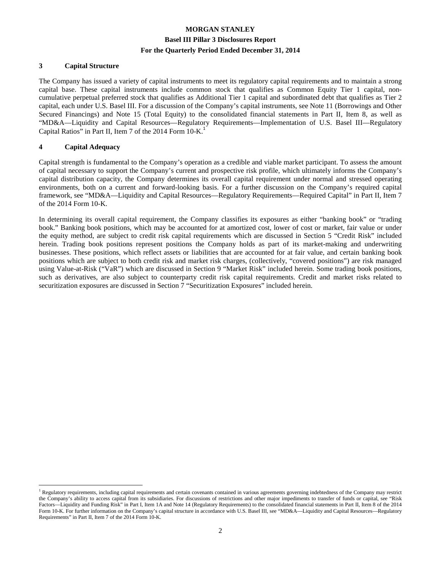#### **3 Capital Structure**

The Company has issued a variety of capital instruments to meet its regulatory capital requirements and to maintain a strong capital base. These capital instruments include common stock that qualifies as Common Equity Tier 1 capital, noncumulative perpetual preferred stock that qualifies as Additional Tier 1 capital and subordinated debt that qualifies as Tier 2 capital, each under U.S. Basel III. For a discussion of the Company's capital instruments, see Note 11 (Borrowings and Other Secured Financings) and Note 15 (Total Equity) to the consolidated financial statements in Part II, Item 8, as well as "MD&A—Liquidity and Capital Resources—Regulatory Requirements—Implementation of U.S. Basel III—Regulatory Capital Ratios" in Part II, Item 7 of the 2014 Form 10-K.<sup>1</sup>

#### **4 Capital Adequacy**

 $\overline{a}$ 

Capital strength is fundamental to the Company's operation as a credible and viable market participant. To assess the amount of capital necessary to support the Company's current and prospective risk profile, which ultimately informs the Company's capital distribution capacity, the Company determines its overall capital requirement under normal and stressed operating environments, both on a current and forward-looking basis. For a further discussion on the Company's required capital framework, see "MD&A—Liquidity and Capital Resources—Regulatory Requirements—Required Capital" in Part II, Item 7 of the 2014 Form 10-K.

In determining its overall capital requirement, the Company classifies its exposures as either "banking book" or "trading book." Banking book positions, which may be accounted for at amortized cost, lower of cost or market, fair value or under the equity method, are subject to credit risk capital requirements which are discussed in Section 5 "Credit Risk" included herein. Trading book positions represent positions the Company holds as part of its market-making and underwriting businesses. These positions, which reflect assets or liabilities that are accounted for at fair value, and certain banking book positions which are subject to both credit risk and market risk charges, (collectively, "covered positions") are risk managed using Value-at-Risk ("VaR") which are discussed in Section 9 "Market Risk" included herein. Some trading book positions, such as derivatives, are also subject to counterparty credit risk capital requirements. Credit and market risks related to securitization exposures are discussed in Section 7 "Securitization Exposures" included herein.

<sup>&</sup>lt;sup>1</sup> Regulatory requirements, including capital requirements and certain covenants contained in various agreements governing indebtedness of the Company may restrict the Company's ability to access capital from its subsidiaries. For discussions of restrictions and other major impediments to transfer of funds or capital, see "Risk Factors—Liquidity and Funding Risk" in Part I, Item 1A and Note 14 (Regulatory Requirements) to the consolidated financial statements in Part II, Item 8 of the 2014 Form 10-K. For further information on the Company's capital structure in accordance with U.S. Basel III, see "MD&A—Liquidity and Capital Resources—Regulatory Requirements" in Part II, Item 7 of the 2014 Form 10-K.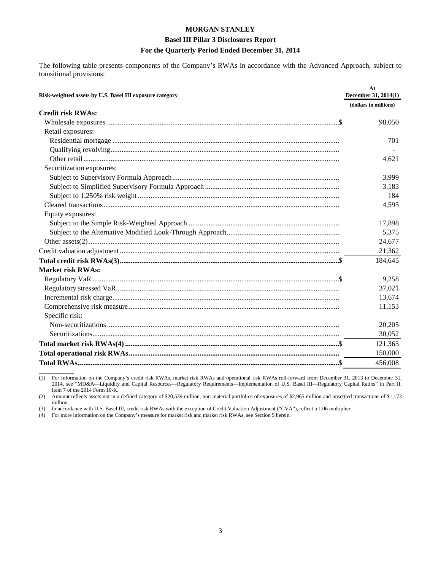#### **Basel III Pillar 3 Disclosures Report**

#### **For the Quarterly Period Ended December 31, 2014**

The following table presents components of the Company's RWAs in accordance with the Advanced Approach, subject to transitional provisions:

| Risk-weighted assets by U.S. Basel III exposure category | At<br>December 31, 2014(1) |
|----------------------------------------------------------|----------------------------|
|                                                          | (dollars in millions)      |
| <b>Credit risk RWAs:</b>                                 |                            |
|                                                          | 98,050                     |
| Retail exposures:                                        |                            |
|                                                          | 701                        |
|                                                          |                            |
|                                                          | 4,621                      |
| Securitization exposures:                                |                            |
|                                                          | 3,999                      |
|                                                          | 3,183                      |
|                                                          | 184                        |
|                                                          | 4,595                      |
| Equity exposures:                                        |                            |
|                                                          | 17,898                     |
|                                                          | 5,375                      |
|                                                          | 24,677                     |
|                                                          | 21,362                     |
|                                                          | 184,645                    |
| <b>Market risk RWAs:</b>                                 |                            |
|                                                          | 9,258                      |
|                                                          | 37,021                     |
|                                                          | 13,674                     |
|                                                          | 11,153                     |
| Specific risk:                                           |                            |
|                                                          | 20,205                     |
|                                                          | 30,052                     |
|                                                          | 121,363                    |
|                                                          | 150,000                    |
|                                                          | 456,008                    |

 $\overline{\phantom{a}}$  , where  $\overline{\phantom{a}}$ (1) For information on the Company's credit risk RWAs, market risk RWAs and operational risk RWAs roll-forward from December 31, 2013 to December 31, 2014, see "MD&A—Liquidity and Capital Resources—Regulatory Requirements—Implementation of U.S. Basel III—Regulatory Capital Ratios" in Part II, Item 7 of the 2014 Form 10-K.

(2) Amount reflects assets not in a defined category of \$20,539 million, non-material portfolios of exposures of \$2,965 million and unsettled transactions of \$1,173 million.

(3) In accordance with U.S. Basel III, credit risk RWAs with the exception of Credit Valuation Adjustment ("CVA"), reflect a 1.06 multiplier.<br>
(4) For more information on the Company's measure for market risk and market ri

For more information on the Company's measure for market risk and market risk RWAs, see Section 9 herein.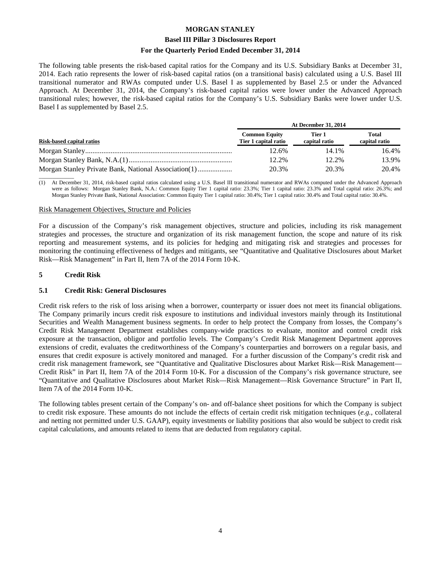#### **Basel III Pillar 3 Disclosures Report**

#### **For the Quarterly Period Ended December 31, 2014**

The following table presents the risk-based capital ratios for the Company and its U.S. Subsidiary Banks at December 31, 2014. Each ratio represents the lower of risk-based capital ratios (on a transitional basis) calculated using a U.S. Basel III transitional numerator and RWAs computed under U.S. Basel I as supplemented by Basel 2.5 or under the Advanced Approach. At December 31, 2014, the Company's risk-based capital ratios were lower under the Advanced Approach transitional rules; however, the risk-based capital ratios for the Company's U.S. Subsidiary Banks were lower under U.S. Basel I as supplemented by Basel 2.5.

|                           | <b>At December 31, 2014</b>                  |                         |                               |  |  |  |
|---------------------------|----------------------------------------------|-------------------------|-------------------------------|--|--|--|
| Risk-based capital ratios | <b>Common Equity</b><br>Tier 1 capital ratio | Tier 1<br>capital ratio | <b>Total</b><br>capital ratio |  |  |  |
|                           | 12.6%                                        | 14.1%                   | 16.4%                         |  |  |  |
|                           | 12.2%                                        | 12.2%                   | 13.9%                         |  |  |  |
|                           | 20.3%                                        | 20.3%                   | 20.4%                         |  |  |  |

 $\overline{\phantom{a}}$  , where  $\overline{\phantom{a}}$ (1) At December 31, 2014, risk-based capital ratios calculated using a U.S. Basel III transitional numerator and RWAs computed under the Advanced Approach were as follows: Morgan Stanley Bank, N.A.: Common Equity Tier 1 capital ratio: 23.3%; Tier 1 capital ratio: 23.3% and Total capital ratio: 26.3%; and Morgan Stanley Private Bank, National Association: Common Equity Tier 1 capital ratio: 30.4%; Tier 1 capital ratio: 30.4% and Total capital ratio: 30.4%.

#### Risk Management Objectives, Structure and Policies

For a discussion of the Company's risk management objectives, structure and policies, including its risk management strategies and processes, the structure and organization of its risk management function, the scope and nature of its risk reporting and measurement systems, and its policies for hedging and mitigating risk and strategies and processes for monitoring the continuing effectiveness of hedges and mitigants, see "Quantitative and Qualitative Disclosures about Market Risk—Risk Management" in Part II, Item 7A of the 2014 Form 10-K.

#### **5 Credit Risk**

#### **5.1 Credit Risk: General Disclosures**

Credit risk refers to the risk of loss arising when a borrower, counterparty or issuer does not meet its financial obligations. The Company primarily incurs credit risk exposure to institutions and individual investors mainly through its Institutional Securities and Wealth Management business segments. In order to help protect the Company from losses, the Company's Credit Risk Management Department establishes company-wide practices to evaluate, monitor and control credit risk exposure at the transaction, obligor and portfolio levels. The Company's Credit Risk Management Department approves extensions of credit, evaluates the creditworthiness of the Company's counterparties and borrowers on a regular basis, and ensures that credit exposure is actively monitored and managed. For a further discussion of the Company's credit risk and credit risk management framework, see "Quantitative and Qualitative Disclosures about Market Risk—Risk Management— Credit Risk" in Part II, Item 7A of the 2014 Form 10-K. For a discussion of the Company's risk governance structure, see "Quantitative and Qualitative Disclosures about Market Risk—Risk Management—Risk Governance Structure" in Part II, Item 7A of the 2014 Form 10-K.

The following tables present certain of the Company's on- and off-balance sheet positions for which the Company is subject to credit risk exposure. These amounts do not include the effects of certain credit risk mitigation techniques (*e.g.*, collateral and netting not permitted under U.S. GAAP), equity investments or liability positions that also would be subject to credit risk capital calculations, and amounts related to items that are deducted from regulatory capital.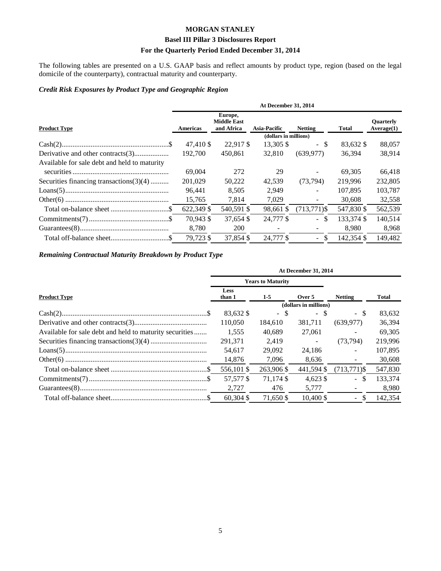#### **Basel III Pillar 3 Disclosures Report**

#### **For the Quarterly Period Ended December 31, 2014**

The following tables are presented on a U.S. GAAP basis and reflect amounts by product type, region (based on the legal domicile of the counterparty), contractual maturity and counterparty.

#### *Credit Risk Exposures by Product Type and Geographic Region*

|                                              | At December 31, 2014 |                                             |                       |                          |              |                                |  |  |  |  |
|----------------------------------------------|----------------------|---------------------------------------------|-----------------------|--------------------------|--------------|--------------------------------|--|--|--|--|
| <b>Product Type</b>                          | Americas             | Europe,<br><b>Middle East</b><br>and Africa | <b>Asia-Pacific</b>   | <b>Netting</b>           | <b>Total</b> | <b>Ouarterly</b><br>Average(1) |  |  |  |  |
|                                              |                      |                                             | (dollars in millions) |                          |              |                                |  |  |  |  |
|                                              | 47.410 \$            | 22.917 \$                                   | 13,305 \$             | - \$                     | 83,632 \$    | 88,057                         |  |  |  |  |
|                                              | 192,700              | 450,861                                     | 32,810                | (639, 977)               | 36.394       | 38,914                         |  |  |  |  |
| Available for sale debt and held to maturity |                      |                                             |                       |                          |              |                                |  |  |  |  |
|                                              | 69,004               | 272                                         | 29                    |                          | 69.305       | 66,418                         |  |  |  |  |
| Securities financing transactions $(3)(4)$   | 201,029              | 50,222                                      | 42.539                | (73, 794)                | 219,996      | 232,805                        |  |  |  |  |
|                                              | 96.441               | 8.505                                       | 2,949                 | $\blacksquare$           | 107.895      | 103,787                        |  |  |  |  |
|                                              | 15,765               | 7,814                                       | 7,029                 | $\overline{\phantom{a}}$ | 30,608       | 32,558                         |  |  |  |  |
|                                              | 622,349 \$           | 540,591 \$                                  | 98,661 \$             | $(713, 771)$ \$          | 547,830 \$   | 562,539                        |  |  |  |  |
|                                              | 70.943 \$            | 37.654 \$                                   | 24,777 \$             | $-$ \$                   | 133,374 \$   | 140,514                        |  |  |  |  |
|                                              | 8,780                | <b>200</b>                                  |                       |                          | 8.980        | 8,968                          |  |  |  |  |
|                                              | 79,723 \$            | 37.854 \$                                   | 24,777 \$             | $-$ \$                   | 142.354 \$   | 149.482                        |  |  |  |  |

## *Remaining Contractual Maturity Breakdown by Product Type*

|                                                         | At December 31, 2014  |                          |                       |                               |         |
|---------------------------------------------------------|-----------------------|--------------------------|-----------------------|-------------------------------|---------|
|                                                         |                       | <b>Years to Maturity</b> |                       |                               |         |
| <b>Product Type</b>                                     | <b>Less</b><br>than 1 | $1-5$                    | Over 5                | <b>Netting</b>                | Total   |
|                                                         |                       |                          | (dollars in millions) |                               |         |
|                                                         | 83,632 \$             | $-$ \$                   | $-$ \$                | - \$                          | 83,632  |
|                                                         | 110,050               | 184,610                  | 381,711               | (639, 977)                    | 36,394  |
| Available for sale debt and held to maturity securities | 1.555                 | 40.689                   | 27,061                |                               | 69.305  |
|                                                         | 291,371               | 2.419                    | $\sim$                | (73, 794)                     | 219,996 |
|                                                         | 54.617                | 29,092                   | 24.186                | $\blacksquare$                | 107,895 |
|                                                         | 14,876                | 7,096                    | 8,636                 | $\overline{\phantom{a}}$      | 30,608  |
|                                                         | 556,101 \$            | 263,906 \$               | 441,594 \$            | $(713, 771)$ \$               | 547,830 |
|                                                         | 57,577 \$             | 71.174 \$                | $4.623$ \$            | $-$ \$                        | 133,374 |
|                                                         | 2,727                 | 476                      | 5,777                 |                               | 8,980   |
|                                                         | $60.304$ \$           | 71.650 \$                | $10.400 \text{ }$ \$  | <sup>\$</sup><br>$\mathbf{r}$ | 142,354 |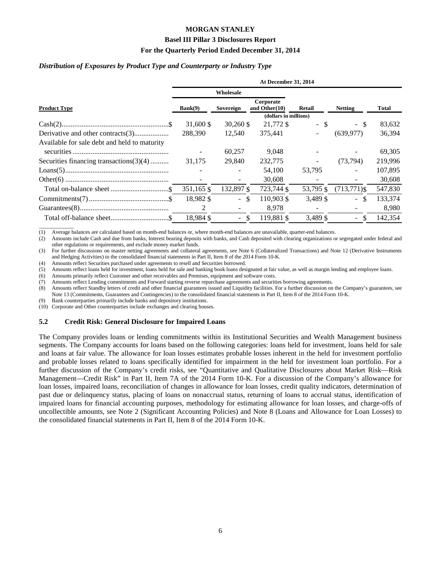#### **Basel III Pillar 3 Disclosures Report**

#### **For the Quarterly Period Ended December 31, 2014**

#### *Distribution of Exposures by Product Type and Counterparty or Industry Type*

|                                              | At December 31, 2014 |                   |                                         |           |                          |              |  |  |  |
|----------------------------------------------|----------------------|-------------------|-----------------------------------------|-----------|--------------------------|--------------|--|--|--|
|                                              |                      | Wholesale         |                                         |           |                          |              |  |  |  |
| <b>Product Type</b>                          | Bank(9)              | Sovereign         | Corporate<br>and Other $(10)$<br>Retail |           | <b>Netting</b>           | <b>Total</b> |  |  |  |
|                                              |                      |                   | (dollars in millions)                   |           |                          |              |  |  |  |
|                                              | 31,600 \$            | $30,260$ \$       | 21,772 \$                               | - \$      | - \$                     | 83,632       |  |  |  |
|                                              | 288,390              | 12.540            | 375.441                                 |           | (639, 977)               | 36,394       |  |  |  |
| Available for sale debt and held to maturity |                      |                   |                                         |           |                          |              |  |  |  |
|                                              |                      | 60,257            | 9,048                                   |           |                          | 69,305       |  |  |  |
| Securities financing transactions $(3)(4)$   | 31.175               | 29,840            | 232,775                                 | $\sim$    | (73, 794)                | 219,996      |  |  |  |
|                                              |                      |                   | 54,100                                  | 53,795    | $\blacksquare$           | 107,895      |  |  |  |
|                                              |                      |                   | 30,608                                  |           | $\overline{\phantom{a}}$ | 30,608       |  |  |  |
|                                              | 351,165 \$           | 132,897 \$        | 723,744 \$                              | 53,795 \$ | $(713,771)$ \$           | 547,830      |  |  |  |
|                                              | 18,982 \$            | $-$ \$            | 110.903 \$                              | 3,489 \$  | $-$ \$                   | 133,374      |  |  |  |
|                                              | 2                    |                   | 8,978                                   |           |                          | 8,980        |  |  |  |
|                                              | 18.984 \$            | -\$<br>$\sim$ $-$ | 119.881 \$                              | 3.489 \$  | $-$ \$                   | 142,354      |  |  |  |

 $\overline{\phantom{a}}$  , where  $\overline{\phantom{a}}$ (1) Average balances are calculated based on month-end balances or, where month-end balances are unavailable, quarter-end balances.

(2) Amounts include Cash and due from banks, Interest bearing deposits with banks, and Cash deposited with clearing organizations or segregated under federal and other regulations or requirements, and exclude money market funds.

(3) For further discussions on master netting agreements and collateral agreements, see Note 6 (Collateralized Transactions) and Note 12 (Derivative Instruments and Hedging Activities) to the consolidated financial statements in Part II, Item 8 of the 2014 Form 10-K.

(4) Amounts reflect Securities purchased under agreements to resell and Securities borrowed.

(5) Amounts reflect loans held for investment, loans held for sale and banking book loans designated at fair value, as well as margin lending and employee loans.

(6) Amounts primarily reflect Customer and other receivables and Premises, equipment and software costs.

(7) Amounts reflect Lending commitments and Forward starting reverse repurchase agreements and securities borrowing agreements.

(8) Amounts reflect Standby letters of credit and other financial guarantees issued and Liquidity facilities. For a further discussion on the Company's guarantees, see Note 13 (Commitments, Guarantees and Contingencies) to the consolidated financial statements in Part II, Item 8 of the 2014 Form 10-K.

(9) Bank counterparties primarily include banks and depository institutions.

(10) Corporate and Other counterparties include exchanges and clearing houses.

#### **5.2 Credit Risk: General Disclosure for Impaired Loans**

The Company provides loans or lending commitments within its Institutional Securities and Wealth Management business segments. The Company accounts for loans based on the following categories: loans held for investment, loans held for sale and loans at fair value. The allowance for loan losses estimates probable losses inherent in the held for investment portfolio and probable losses related to loans specifically identified for impairment in the held for investment loan portfolio. For a further discussion of the Company's credit risks, see "Quantitative and Qualitative Disclosures about Market Risk—Risk Management—Credit Risk" in Part II, Item 7A of the 2014 Form 10-K. For a discussion of the Company's allowance for loan losses, impaired loans, reconciliation of changes in allowance for loan losses, credit quality indicators, determination of past due or delinquency status, placing of loans on nonaccrual status, returning of loans to accrual status, identification of impaired loans for financial accounting purposes, methodology for estimating allowance for loan losses, and charge-offs of uncollectible amounts, see Note 2 (Significant Accounting Policies) and Note 8 (Loans and Allowance for Loan Losses) to the consolidated financial statements in Part II, Item 8 of the 2014 Form 10-K.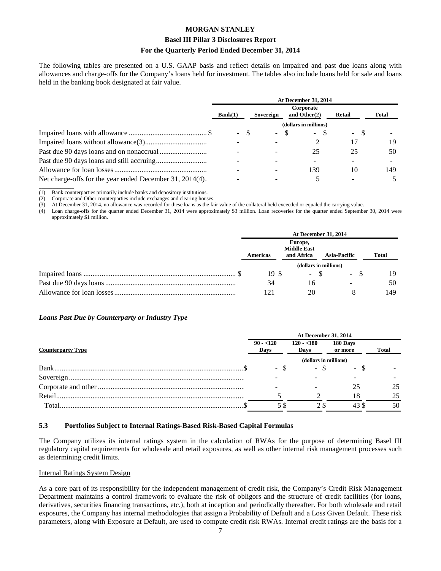#### **Basel III Pillar 3 Disclosures Report**

#### **For the Quarterly Period Ended December 31, 2014**

The following tables are presented on a U.S. GAAP basis and reflect details on impaired and past due loans along with allowances and charge-offs for the Company's loans held for investment. The tables also include loans held for sale and loans held in the banking book designated at fair value.

|                                                          | <b>At December 31, 2014</b> |    |           |  |                              |    |                  |  |       |
|----------------------------------------------------------|-----------------------------|----|-----------|--|------------------------------|----|------------------|--|-------|
|                                                          | Bank(1)                     |    | Sovereign |  | Corporate<br>and Other $(2)$ |    | <b>Retail</b>    |  | Total |
|                                                          |                             |    |           |  | (dollars in millions)        |    |                  |  |       |
|                                                          | $\sim$                      | -8 | $\sim$    |  | $\overline{\phantom{a}}$     | -8 | - \$<br>$\sim$ . |  |       |
|                                                          |                             |    |           |  |                              |    | 17               |  | 19    |
|                                                          |                             |    |           |  | 25                           |    | 25               |  | 50    |
|                                                          |                             |    |           |  |                              |    |                  |  |       |
|                                                          |                             |    |           |  | 139                          |    | 10               |  | 149.  |
| Net charge-offs for the year ended December 31, 2014(4). |                             |    |           |  |                              |    |                  |  |       |

 $\overline{\phantom{a}}$  , where  $\overline{\phantom{a}}$ (1) Bank counterparties primarily include banks and depository institutions.

(2) Corporate and Other counterparties include exchanges and clearing houses.<br>
(3) At December 31, 2014, no allowance was recorded for these loans as the fa

(3) At December 31, 2014, no allowance was recorded for these loans as the fair value of the collateral held exceeded or equaled the carrying value.

(4) Loan charge-offs for the quarter ended December 31, 2014 were approximately \$3 million. Loan recoveries for the quarter ended September 30, 2014 were approximately \$1 million.

| <b>At December 31, 2014</b> |            |                                              |        |     |  |  |
|-----------------------------|------------|----------------------------------------------|--------|-----|--|--|
| <b>Americas</b>             |            | <b>Total</b>                                 |        |     |  |  |
|                             | and Africa | <b>Asia-Pacific</b><br>(dollars in millions) |        |     |  |  |
| 19S                         |            | $-$ \$                                       | $-$ \$ | 19  |  |  |
| 34                          | 16         |                                              |        | 50  |  |  |
| 121                         | 20         |                                              |        | 149 |  |  |

#### *Loans Past Due by Counterparty or Industry Type*

|                          |                       | <b>At December 31, 2014</b> |                     |              |  |
|--------------------------|-----------------------|-----------------------------|---------------------|--------------|--|
| <b>Counterparty Type</b> | $90 - 120$<br>Days    | $120 - 180$<br>Days         | 180 Days<br>or more | <b>Total</b> |  |
|                          | (dollars in millions) |                             |                     |              |  |
|                          |                       | - \$                        |                     |              |  |
|                          |                       |                             |                     |              |  |
|                          |                       |                             |                     |              |  |
| Retail.                  |                       |                             | 18                  |              |  |
| Total                    |                       |                             |                     | 50           |  |

#### **5.3 Portfolios Subject to Internal Ratings-Based Risk-Based Capital Formulas**

The Company utilizes its internal ratings system in the calculation of RWAs for the purpose of determining Basel III regulatory capital requirements for wholesale and retail exposures, as well as other internal risk management processes such as determining credit limits.

#### Internal Ratings System Design

As a core part of its responsibility for the independent management of credit risk, the Company's Credit Risk Management Department maintains a control framework to evaluate the risk of obligors and the structure of credit facilities (for loans, derivatives, securities financing transactions, etc.), both at inception and periodically thereafter. For both wholesale and retail exposures, the Company has internal methodologies that assign a Probability of Default and a Loss Given Default. These risk parameters, along with Exposure at Default, are used to compute credit risk RWAs. Internal credit ratings are the basis for a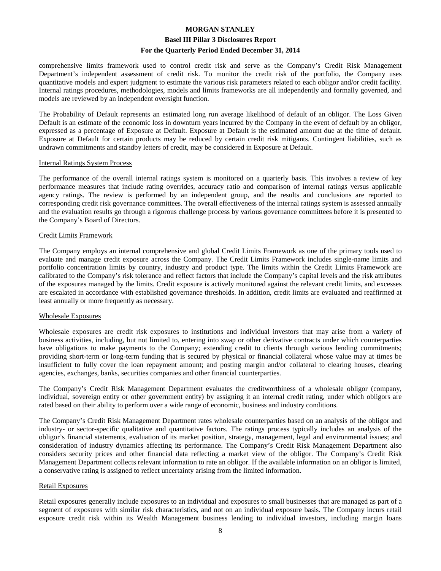#### **Basel III Pillar 3 Disclosures Report**

#### **For the Quarterly Period Ended December 31, 2014**

comprehensive limits framework used to control credit risk and serve as the Company's Credit Risk Management Department's independent assessment of credit risk. To monitor the credit risk of the portfolio, the Company uses quantitative models and expert judgment to estimate the various risk parameters related to each obligor and/or credit facility. Internal ratings procedures, methodologies, models and limits frameworks are all independently and formally governed, and models are reviewed by an independent oversight function.

The Probability of Default represents an estimated long run average likelihood of default of an obligor. The Loss Given Default is an estimate of the economic loss in downturn years incurred by the Company in the event of default by an obligor, expressed as a percentage of Exposure at Default. Exposure at Default is the estimated amount due at the time of default. Exposure at Default for certain products may be reduced by certain credit risk mitigants. Contingent liabilities, such as undrawn commitments and standby letters of credit, may be considered in Exposure at Default.

#### Internal Ratings System Process

The performance of the overall internal ratings system is monitored on a quarterly basis. This involves a review of key performance measures that include rating overrides, accuracy ratio and comparison of internal ratings versus applicable agency ratings. The review is performed by an independent group, and the results and conclusions are reported to corresponding credit risk governance committees. The overall effectiveness of the internal ratings system is assessed annually and the evaluation results go through a rigorous challenge process by various governance committees before it is presented to the Company's Board of Directors.

#### Credit Limits Framework

The Company employs an internal comprehensive and global Credit Limits Framework as one of the primary tools used to evaluate and manage credit exposure across the Company. The Credit Limits Framework includes single-name limits and portfolio concentration limits by country, industry and product type. The limits within the Credit Limits Framework are calibrated to the Company's risk tolerance and reflect factors that include the Company's capital levels and the risk attributes of the exposures managed by the limits. Credit exposure is actively monitored against the relevant credit limits, and excesses are escalated in accordance with established governance thresholds. In addition, credit limits are evaluated and reaffirmed at least annually or more frequently as necessary.

#### Wholesale Exposures

Wholesale exposures are credit risk exposures to institutions and individual investors that may arise from a variety of business activities, including, but not limited to, entering into swap or other derivative contracts under which counterparties have obligations to make payments to the Company; extending credit to clients through various lending commitments; providing short-term or long-term funding that is secured by physical or financial collateral whose value may at times be insufficient to fully cover the loan repayment amount; and posting margin and/or collateral to clearing houses, clearing agencies, exchanges, banks, securities companies and other financial counterparties.

The Company's Credit Risk Management Department evaluates the creditworthiness of a wholesale obligor (company, individual, sovereign entity or other government entity) by assigning it an internal credit rating, under which obligors are rated based on their ability to perform over a wide range of economic, business and industry conditions.

The Company's Credit Risk Management Department rates wholesale counterparties based on an analysis of the obligor and industry- or sector-specific qualitative and quantitative factors. The ratings process typically includes an analysis of the obligor's financial statements, evaluation of its market position, strategy, management, legal and environmental issues; and consideration of industry dynamics affecting its performance. The Company's Credit Risk Management Department also considers security prices and other financial data reflecting a market view of the obligor. The Company's Credit Risk Management Department collects relevant information to rate an obligor. If the available information on an obligor is limited, a conservative rating is assigned to reflect uncertainty arising from the limited information.

#### Retail Exposures

Retail exposures generally include exposures to an individual and exposures to small businesses that are managed as part of a segment of exposures with similar risk characteristics, and not on an individual exposure basis. The Company incurs retail exposure credit risk within its Wealth Management business lending to individual investors, including margin loans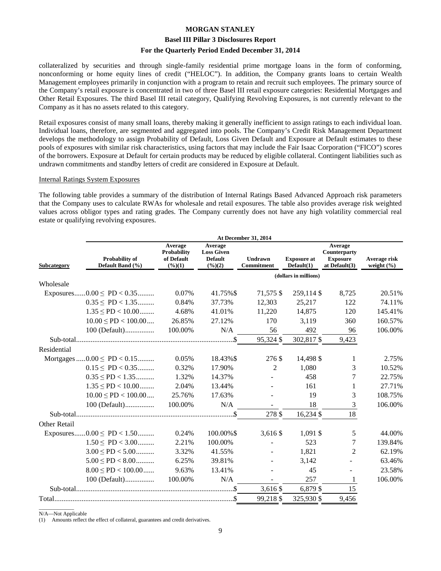#### **Basel III Pillar 3 Disclosures Report**

#### **For the Quarterly Period Ended December 31, 2014**

collateralized by securities and through single-family residential prime mortgage loans in the form of conforming, nonconforming or home equity lines of credit ("HELOC"). In addition, the Company grants loans to certain Wealth Management employees primarily in conjunction with a program to retain and recruit such employees. The primary source of the Company's retail exposure is concentrated in two of three Basel III retail exposure categories: Residential Mortgages and Other Retail Exposures. The third Basel III retail category, Qualifying Revolving Exposures, is not currently relevant to the Company as it has no assets related to this category.

Retail exposures consist of many small loans, thereby making it generally inefficient to assign ratings to each individual loan. Individual loans, therefore, are segmented and aggregated into pools. The Company's Credit Risk Management Department develops the methodology to assign Probability of Default, Loss Given Default and Exposure at Default estimates to these pools of exposures with similar risk characteristics, using factors that may include the Fair Isaac Corporation ("FICO") scores of the borrowers. Exposure at Default for certain products may be reduced by eligible collateral. Contingent liabilities such as undrawn commitments and standby letters of credit are considered in Exposure at Default.

#### Internal Ratings System Exposures

The following table provides a summary of the distribution of Internal Ratings Based Advanced Approach risk parameters that the Company uses to calculate RWAs for wholesale and retail exposures. The table also provides average risk weighted values across obligor types and rating grades. The Company currently does not have any high volatility commercial real estate or qualifying revolving exposures.

|                                                   | At December 31, 2014                              |                                                                      |                                     |                                  |                                                                |                                |  |  |  |  |
|---------------------------------------------------|---------------------------------------------------|----------------------------------------------------------------------|-------------------------------------|----------------------------------|----------------------------------------------------------------|--------------------------------|--|--|--|--|
| Probability of<br>Default Band (%)<br>Subcategory | Average<br>Probability<br>of Default<br>$(\%)(1)$ | Average<br><b>Loss Given</b><br><b>Default</b><br>$(\frac{6}{6})(2)$ | <b>Undrawn</b><br><b>Commitment</b> | <b>Exposure at</b><br>Default(1) | Average<br>Counterparty<br><b>Exposure</b><br>at Default $(3)$ | Average risk<br>weight $(\% )$ |  |  |  |  |
|                                                   |                                                   |                                                                      |                                     | (dollars in millions)            |                                                                |                                |  |  |  |  |
| Wholesale                                         |                                                   |                                                                      |                                     |                                  |                                                                |                                |  |  |  |  |
| Exposures $0.00 \leq \text{PD} < 0.35$            | 0.07%                                             | 41.75%\$                                                             | 71,575 \$                           | 259,114 \$                       | 8,725                                                          | 20.51%                         |  |  |  |  |
| $0.35 \leq P D < 1.35$                            | 0.84%                                             | 37.73%                                                               | 12,303                              | 25,217                           | 122                                                            | 74.11%                         |  |  |  |  |
| $1.35 \leq P D < 10.00$                           | 4.68%                                             | 41.01%                                                               | 11,220                              | 14,875                           | 120                                                            | 145.41%                        |  |  |  |  |
| $10.00 \leq P D < 100.00 \dots$                   | 26.85%                                            | 27.12%                                                               | 170                                 | 3,119                            | 360                                                            | 160.57%                        |  |  |  |  |
| 100 (Default)                                     | 100.00%                                           | N/A                                                                  | 56                                  | 492                              | 96                                                             | 106.00%                        |  |  |  |  |
|                                                   |                                                   |                                                                      | 95,324 \$                           | 302,817 \$                       | 9,423                                                          |                                |  |  |  |  |
| Residential                                       |                                                   |                                                                      |                                     |                                  |                                                                |                                |  |  |  |  |
| Mortgages $0.00 \leq PD < 0.15$                   | 0.05%                                             | 18.43%\$                                                             | 276 \$                              | 14,498 \$                        | 1                                                              | 2.75%                          |  |  |  |  |
| $0.15 \leq P D < 0.35$                            | 0.32%                                             | 17.90%                                                               | $\overline{2}$                      | 1,080                            | 3                                                              | 10.52%                         |  |  |  |  |
| $0.35 \leq P D < 1.35$                            | 1.32%                                             | 14.37%                                                               |                                     | 458                              | 7                                                              | 22.75%                         |  |  |  |  |
| $1.35 \leq P D < 10.00$                           | 2.04%                                             | 13.44%                                                               |                                     | 161                              | 1                                                              | 27.71%                         |  |  |  |  |
| $10.00 \leq P D < 100.00 \dots$                   | 25.76%                                            | 17.63%                                                               |                                     | 19                               | 3                                                              | 108.75%                        |  |  |  |  |
| 100 (Default)                                     | 100.00%                                           | N/A                                                                  |                                     | 18                               | 3                                                              | 106.00%                        |  |  |  |  |
|                                                   |                                                   |                                                                      | 278 \$                              | 16,234 \$                        | 18                                                             |                                |  |  |  |  |
| Other Retail                                      |                                                   |                                                                      |                                     |                                  |                                                                |                                |  |  |  |  |
| Exposures $0.00 \leq PD < 1.50$                   | 0.24%                                             | 100.00%\$                                                            | 3,616 \$                            | 1,091 \$                         | 5                                                              | 44.00%                         |  |  |  |  |
| $1.50 \leq PD < 3.00$                             | 2.21%                                             | 100.00%                                                              |                                     | 523                              | 7                                                              | 139.84%                        |  |  |  |  |
| $3.00 \leq PD < 5.00$                             | 3.32%                                             | 41.55%                                                               |                                     | 1,821                            | 2                                                              | 62.19%                         |  |  |  |  |
| $5.00 \leq P D < 8.00$                            | 6.25%                                             | 39.81%                                                               |                                     | 3,142                            |                                                                | 63.46%                         |  |  |  |  |
| $8.00 \leq PD < 100.00$                           | 9.63%                                             | 13.41%                                                               |                                     | 45                               |                                                                | 23.58%                         |  |  |  |  |
| 100 (Default)                                     | 100.00%                                           | N/A                                                                  |                                     | 257                              | $\mathbf{1}$                                                   | 106.00%                        |  |  |  |  |
|                                                   |                                                   |                                                                      | 3,616 \$                            | 6,879 \$                         | 15                                                             |                                |  |  |  |  |
|                                                   |                                                   |                                                                      | 99,218 \$                           | 325,930 \$                       | 9,456                                                          |                                |  |  |  |  |

 $\overline{\phantom{a}}$  , where  $\overline{\phantom{a}}$ N/A—Not Applicable

(1) Amounts reflect the effect of collateral, guarantees and credit derivatives.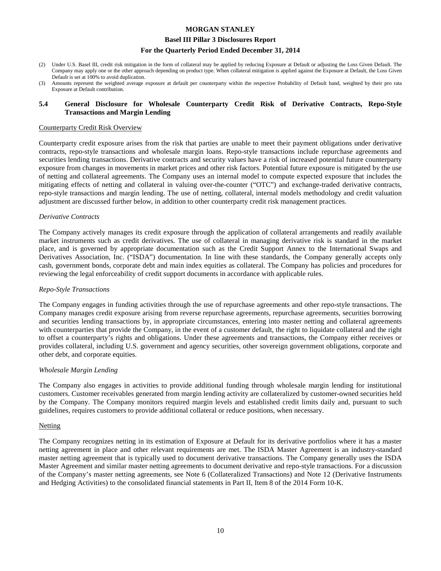#### **Basel III Pillar 3 Disclosures Report**

#### **For the Quarterly Period Ended December 31, 2014**

- (2) Under U.S. Basel III, credit risk mitigation in the form of collateral may be applied by reducing Exposure at Default or adjusting the Loss Given Default. The Company may apply one or the other approach depending on product type. When collateral mitigation is applied against the Exposure at Default, the Loss Given Default is set at 100% to avoid duplication.
- (3) Amounts represent the weighted average exposure at default per counterparty within the respective Probability of Default band, weighted by their pro rata Exposure at Default contribution.

#### **5.4 General Disclosure for Wholesale Counterparty Credit Risk of Derivative Contracts, Repo-Style Transactions and Margin Lending**

#### Counterparty Credit Risk Overview

Counterparty credit exposure arises from the risk that parties are unable to meet their payment obligations under derivative contracts, repo-style transactions and wholesale margin loans. Repo-style transactions include repurchase agreements and securities lending transactions. Derivative contracts and security values have a risk of increased potential future counterparty exposure from changes in movements in market prices and other risk factors. Potential future exposure is mitigated by the use of netting and collateral agreements. The Company uses an internal model to compute expected exposure that includes the mitigating effects of netting and collateral in valuing over-the-counter ("OTC") and exchange-traded derivative contracts, repo-style transactions and margin lending. The use of netting, collateral, internal models methodology and credit valuation adjustment are discussed further below, in addition to other counterparty credit risk management practices.

#### *Derivative Contracts*

The Company actively manages its credit exposure through the application of collateral arrangements and readily available market instruments such as credit derivatives. The use of collateral in managing derivative risk is standard in the market place, and is governed by appropriate documentation such as the Credit Support Annex to the International Swaps and Derivatives Association, Inc. ("ISDA") documentation. In line with these standards, the Company generally accepts only cash, government bonds, corporate debt and main index equities as collateral. The Company has policies and procedures for reviewing the legal enforceability of credit support documents in accordance with applicable rules.

#### *Repo-Style Transactions*

The Company engages in funding activities through the use of repurchase agreements and other repo-style transactions. The Company manages credit exposure arising from reverse repurchase agreements, repurchase agreements, securities borrowing and securities lending transactions by, in appropriate circumstances, entering into master netting and collateral agreements with counterparties that provide the Company, in the event of a customer default, the right to liquidate collateral and the right to offset a counterparty's rights and obligations. Under these agreements and transactions, the Company either receives or provides collateral, including U.S. government and agency securities, other sovereign government obligations, corporate and other debt, and corporate equities.

#### *Wholesale Margin Lending*

The Company also engages in activities to provide additional funding through wholesale margin lending for institutional customers. Customer receivables generated from margin lending activity are collateralized by customer-owned securities held by the Company. The Company monitors required margin levels and established credit limits daily and, pursuant to such guidelines, requires customers to provide additional collateral or reduce positions, when necessary.

#### Netting

The Company recognizes netting in its estimation of Exposure at Default for its derivative portfolios where it has a master netting agreement in place and other relevant requirements are met. The ISDA Master Agreement is an industry-standard master netting agreement that is typically used to document derivative transactions. The Company generally uses the ISDA Master Agreement and similar master netting agreements to document derivative and repo-style transactions. For a discussion of the Company's master netting agreements, see Note 6 (Collateralized Transactions) and Note 12 (Derivative Instruments and Hedging Activities) to the consolidated financial statements in Part II, Item 8 of the 2014 Form 10-K.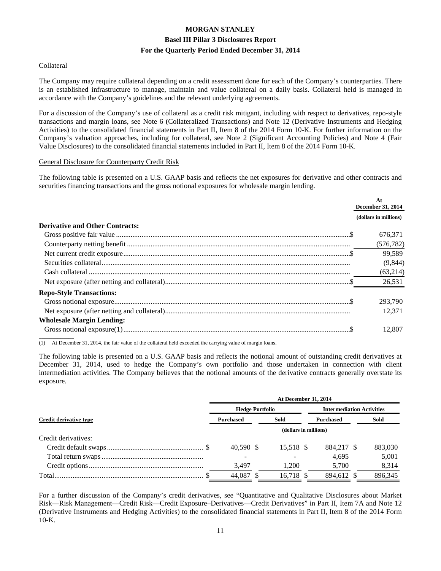#### Collateral

The Company may require collateral depending on a credit assessment done for each of the Company's counterparties. There is an established infrastructure to manage, maintain and value collateral on a daily basis. Collateral held is managed in accordance with the Company's guidelines and the relevant underlying agreements.

For a discussion of the Company's use of collateral as a credit risk mitigant, including with respect to derivatives, repo-style transactions and margin loans, see Note 6 (Collateralized Transactions) and Note 12 (Derivative Instruments and Hedging Activities) to the consolidated financial statements in Part II, Item 8 of the 2014 Form 10-K. For further information on the Company's valuation approaches, including for collateral, see Note 2 (Significant Accounting Policies) and Note 4 (Fair Value Disclosures) to the consolidated financial statements included in Part II, Item 8 of the 2014 Form 10-K.

#### General Disclosure for Counterparty Credit Risk

The following table is presented on a U.S. GAAP basis and reflects the net exposures for derivative and other contracts and securities financing transactions and the gross notional exposures for wholesale margin lending.

|                                        | At<br>December 31, 2014 |
|----------------------------------------|-------------------------|
|                                        | (dollars in millions)   |
| <b>Derivative and Other Contracts:</b> |                         |
|                                        | 676,371                 |
|                                        | (576, 782)              |
|                                        | 99,589                  |
|                                        | (9, 844)                |
|                                        | (63,214)                |
|                                        | 26,531                  |
| <b>Repo-Style Transactions:</b>        |                         |
|                                        | 293,790                 |
|                                        | 12.371                  |
| <b>Wholesale Margin Lending:</b>       |                         |
|                                        | 12.807                  |

(1) At December 31, 2014, the fair value of the collateral held exceeded the carrying value of margin loans.

The following table is presented on a U.S. GAAP basis and reflects the notional amount of outstanding credit derivatives at December 31, 2014, used to hedge the Company's own portfolio and those undertaken in connection with client intermediation activities. The Company believes that the notional amounts of the derivative contracts generally overstate its exposure.

|                        | <b>At December 31, 2014</b> |  |                       |  |                                  |  |         |  |
|------------------------|-----------------------------|--|-----------------------|--|----------------------------------|--|---------|--|
|                        | <b>Hedge Portfolio</b>      |  |                       |  | <b>Intermediation Activities</b> |  |         |  |
| Credit derivative type | <b>Purchased</b>            |  | Sold                  |  | <b>Purchased</b>                 |  | Sold    |  |
|                        |                             |  | (dollars in millions) |  |                                  |  |         |  |
| Credit derivatives:    |                             |  |                       |  |                                  |  |         |  |
|                        | 40.590 \$                   |  | 15.518 \$             |  | 884.217 \$                       |  | 883,030 |  |
|                        |                             |  |                       |  | 4.695                            |  | 5,001   |  |
|                        | 3,497                       |  | 1,200                 |  | 5,700                            |  | 8,314   |  |
|                        | 44.087 \$                   |  | 16.718 \$             |  | 894.612 \$                       |  | 896,345 |  |

For a further discussion of the Company's credit derivatives, see "Quantitative and Qualitative Disclosures about Market Risk—Risk Management—Credit Risk—Credit Exposure–Derivatives—Credit Derivatives" in Part II, Item 7A and Note 12 (Derivative Instruments and Hedging Activities) to the consolidated financial statements in Part II, Item 8 of the 2014 Form 10-K.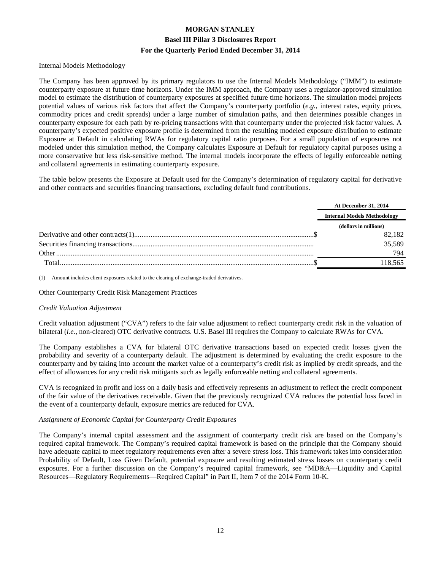#### Internal Models Methodology

The Company has been approved by its primary regulators to use the Internal Models Methodology ("IMM") to estimate counterparty exposure at future time horizons. Under the IMM approach, the Company uses a regulator-approved simulation model to estimate the distribution of counterparty exposures at specified future time horizons. The simulation model projects potential values of various risk factors that affect the Company's counterparty portfolio (*e.g.*, interest rates, equity prices, commodity prices and credit spreads) under a large number of simulation paths, and then determines possible changes in counterparty exposure for each path by re-pricing transactions with that counterparty under the projected risk factor values. A counterparty's expected positive exposure profile is determined from the resulting modeled exposure distribution to estimate Exposure at Default in calculating RWAs for regulatory capital ratio purposes. For a small population of exposures not modeled under this simulation method, the Company calculates Exposure at Default for regulatory capital purposes using a more conservative but less risk-sensitive method. The internal models incorporate the effects of legally enforceable netting and collateral agreements in estimating counterparty exposure.

The table below presents the Exposure at Default used for the Company's determination of regulatory capital for derivative and other contracts and securities financing transactions, excluding default fund contributions.

|       | <b>At December 31, 2014</b>        |
|-------|------------------------------------|
|       | <b>Internal Models Methodology</b> |
|       | (dollars in millions)              |
|       | 82.182                             |
|       | 35.589                             |
| Other | 794                                |
| Total | 18.565                             |

 $\overline{\phantom{a}}$ (1) Amount includes client exposures related to the clearing of exchange-traded derivatives.

#### Other Counterparty Credit Risk Management Practices

#### *Credit Valuation Adjustment*

Credit valuation adjustment ("CVA") refers to the fair value adjustment to reflect counterparty credit risk in the valuation of bilateral (*i.e.,* non-cleared) OTC derivative contracts. U.S. Basel III requires the Company to calculate RWAs for CVA.

The Company establishes a CVA for bilateral OTC derivative transactions based on expected credit losses given the probability and severity of a counterparty default. The adjustment is determined by evaluating the credit exposure to the counterparty and by taking into account the market value of a counterparty's credit risk as implied by credit spreads, and the effect of allowances for any credit risk mitigants such as legally enforceable netting and collateral agreements.

CVA is recognized in profit and loss on a daily basis and effectively represents an adjustment to reflect the credit component of the fair value of the derivatives receivable. Given that the previously recognized CVA reduces the potential loss faced in the event of a counterparty default, exposure metrics are reduced for CVA.

#### *Assignment of Economic Capital for Counterparty Credit Exposures*

The Company's internal capital assessment and the assignment of counterparty credit risk are based on the Company's required capital framework. The Company's required capital framework is based on the principle that the Company should have adequate capital to meet regulatory requirements even after a severe stress loss. This framework takes into consideration Probability of Default, Loss Given Default, potential exposure and resulting estimated stress losses on counterparty credit exposures. For a further discussion on the Company's required capital framework, see "MD&A—Liquidity and Capital Resources—Regulatory Requirements—Required Capital" in Part II, Item 7 of the 2014 Form 10-K.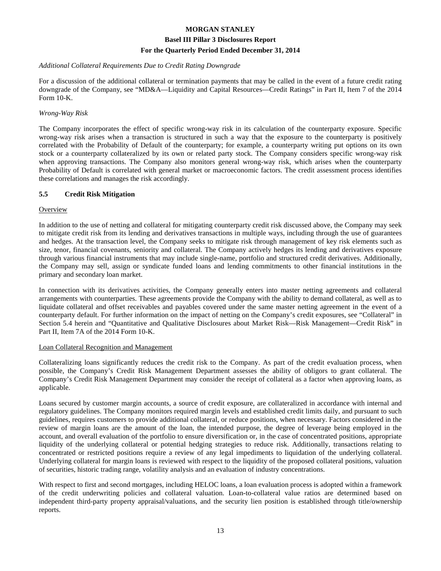#### *Additional Collateral Requirements Due to Credit Rating Downgrade*

For a discussion of the additional collateral or termination payments that may be called in the event of a future credit rating downgrade of the Company, see "MD&A—Liquidity and Capital Resources—Credit Ratings" in Part II, Item 7 of the 2014 Form 10-K.

#### *Wrong-Way Risk*

The Company incorporates the effect of specific wrong-way risk in its calculation of the counterparty exposure. Specific wrong-way risk arises when a transaction is structured in such a way that the exposure to the counterparty is positively correlated with the Probability of Default of the counterparty; for example, a counterparty writing put options on its own stock or a counterparty collateralized by its own or related party stock. The Company considers specific wrong-way risk when approving transactions. The Company also monitors general wrong-way risk, which arises when the counterparty Probability of Default is correlated with general market or macroeconomic factors. The credit assessment process identifies these correlations and manages the risk accordingly.

#### **5.5 Credit Risk Mitigation**

#### **Overview**

In addition to the use of netting and collateral for mitigating counterparty credit risk discussed above, the Company may seek to mitigate credit risk from its lending and derivatives transactions in multiple ways, including through the use of guarantees and hedges. At the transaction level, the Company seeks to mitigate risk through management of key risk elements such as size, tenor, financial covenants, seniority and collateral. The Company actively hedges its lending and derivatives exposure through various financial instruments that may include single-name, portfolio and structured credit derivatives. Additionally, the Company may sell, assign or syndicate funded loans and lending commitments to other financial institutions in the primary and secondary loan market.

In connection with its derivatives activities, the Company generally enters into master netting agreements and collateral arrangements with counterparties. These agreements provide the Company with the ability to demand collateral, as well as to liquidate collateral and offset receivables and payables covered under the same master netting agreement in the event of a counterparty default. For further information on the impact of netting on the Company's credit exposures, see "Collateral" in Section 5.4 herein and "Quantitative and Qualitative Disclosures about Market Risk—Risk Management—Credit Risk" in Part II, Item 7A of the 2014 Form 10-K.

#### Loan Collateral Recognition and Management

Collateralizing loans significantly reduces the credit risk to the Company. As part of the credit evaluation process, when possible, the Company's Credit Risk Management Department assesses the ability of obligors to grant collateral. The Company's Credit Risk Management Department may consider the receipt of collateral as a factor when approving loans, as applicable.

Loans secured by customer margin accounts, a source of credit exposure, are collateralized in accordance with internal and regulatory guidelines. The Company monitors required margin levels and established credit limits daily, and pursuant to such guidelines, requires customers to provide additional collateral, or reduce positions, when necessary. Factors considered in the review of margin loans are the amount of the loan, the intended purpose, the degree of leverage being employed in the account, and overall evaluation of the portfolio to ensure diversification or, in the case of concentrated positions, appropriate liquidity of the underlying collateral or potential hedging strategies to reduce risk. Additionally, transactions relating to concentrated or restricted positions require a review of any legal impediments to liquidation of the underlying collateral. Underlying collateral for margin loans is reviewed with respect to the liquidity of the proposed collateral positions, valuation of securities, historic trading range, volatility analysis and an evaluation of industry concentrations.

With respect to first and second mortgages, including HELOC loans, a loan evaluation process is adopted within a framework of the credit underwriting policies and collateral valuation. Loan-to-collateral value ratios are determined based on independent third-party property appraisal/valuations, and the security lien position is established through title/ownership reports.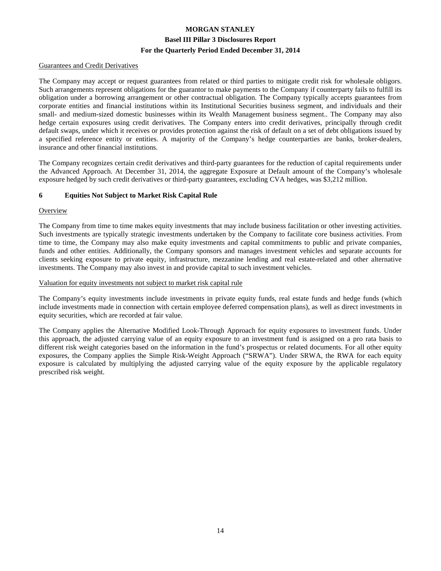#### Guarantees and Credit Derivatives

The Company may accept or request guarantees from related or third parties to mitigate credit risk for wholesale obligors. Such arrangements represent obligations for the guarantor to make payments to the Company if counterparty fails to fulfill its obligation under a borrowing arrangement or other contractual obligation. The Company typically accepts guarantees from corporate entities and financial institutions within its Institutional Securities business segment, and individuals and their small- and medium-sized domestic businesses within its Wealth Management business segment.. The Company may also hedge certain exposures using credit derivatives. The Company enters into credit derivatives, principally through credit default swaps, under which it receives or provides protection against the risk of default on a set of debt obligations issued by a specified reference entity or entities. A majority of the Company's hedge counterparties are banks, broker-dealers, insurance and other financial institutions.

The Company recognizes certain credit derivatives and third-party guarantees for the reduction of capital requirements under the Advanced Approach. At December 31, 2014, the aggregate Exposure at Default amount of the Company's wholesale exposure hedged by such credit derivatives or third-party guarantees, excluding CVA hedges, was \$3,212 million.

#### **6 Equities Not Subject to Market Risk Capital Rule**

#### **Overview**

The Company from time to time makes equity investments that may include business facilitation or other investing activities. Such investments are typically strategic investments undertaken by the Company to facilitate core business activities. From time to time, the Company may also make equity investments and capital commitments to public and private companies, funds and other entities. Additionally, the Company sponsors and manages investment vehicles and separate accounts for clients seeking exposure to private equity, infrastructure, mezzanine lending and real estate-related and other alternative investments. The Company may also invest in and provide capital to such investment vehicles.

#### Valuation for equity investments not subject to market risk capital rule

The Company's equity investments include investments in private equity funds, real estate funds and hedge funds (which include investments made in connection with certain employee deferred compensation plans), as well as direct investments in equity securities, which are recorded at fair value.

The Company applies the Alternative Modified Look-Through Approach for equity exposures to investment funds. Under this approach, the adjusted carrying value of an equity exposure to an investment fund is assigned on a pro rata basis to different risk weight categories based on the information in the fund's prospectus or related documents. For all other equity exposures, the Company applies the Simple Risk-Weight Approach ("SRWA"). Under SRWA, the RWA for each equity exposure is calculated by multiplying the adjusted carrying value of the equity exposure by the applicable regulatory prescribed risk weight.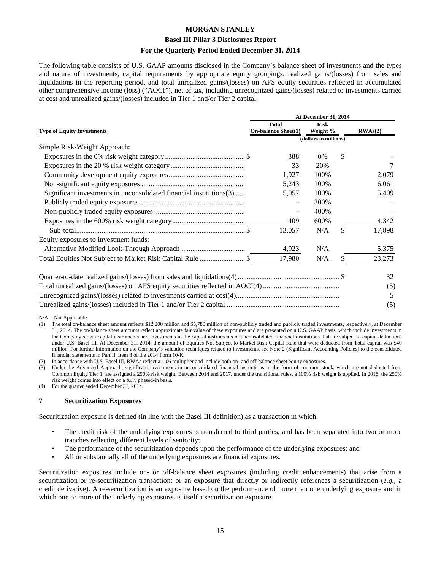#### **Basel III Pillar 3 Disclosures Report**

#### **For the Quarterly Period Ended December 31, 2014**

The following table consists of U.S. GAAP amounts disclosed in the Company's balance sheet of investments and the types and nature of investments, capital requirements by appropriate equity groupings, realized gains/(losses) from sales and liquidations in the reporting period, and total unrealized gains/(losses) on AFS equity securities reflected in accumulated other comprehensive income (loss) ("AOCI"), net of tax, including unrecognized gains/(losses) related to investments carried at cost and unrealized gains/(losses) included in Tier 1 and/or Tier 2 capital.

|                                                                     | At December 31, 2014                       |                         |    |         |  |
|---------------------------------------------------------------------|--------------------------------------------|-------------------------|----|---------|--|
| <b>Type of Equity Investments</b>                                   | <b>Total</b><br><b>On-balance Sheet(1)</b> | <b>Risk</b><br>Weight % |    | RWAs(2) |  |
|                                                                     |                                            | (dollars in millions)   |    |         |  |
| Simple Risk-Weight Approach:                                        |                                            |                         |    |         |  |
|                                                                     | 388                                        | $0\%$                   | \$ |         |  |
|                                                                     | 33                                         | 20%                     |    |         |  |
|                                                                     | 1,927                                      | 100%                    |    | 2,079   |  |
|                                                                     | 5,243                                      | 100%                    |    | 6,061   |  |
| Significant investments in unconsolidated financial institutions(3) | 5,057                                      | 100%                    |    | 5,409   |  |
|                                                                     |                                            | 300%                    |    |         |  |
|                                                                     |                                            | 400%                    |    |         |  |
|                                                                     | 409                                        | 600%                    |    | 4,342   |  |
|                                                                     | 13,057                                     | N/A                     | \$ | 17,898  |  |
| Equity exposures to investment funds:                               |                                            |                         |    |         |  |
|                                                                     | 4,923                                      | N/A                     |    | 5,375   |  |
|                                                                     | 17,980                                     | N/A                     |    | 23,273  |  |
|                                                                     |                                            |                         |    | 32      |  |
|                                                                     |                                            |                         |    | (5)     |  |
|                                                                     |                                            |                         |    | 5       |  |
|                                                                     |                                            |                         |    | (5)     |  |

 $\overline{\phantom{a}}$ N/A—Not Applicable

(1) The total on-balance sheet amount reflects \$12,200 million and \$5,780 million of non-publicly traded and publicly traded investments, respectively, at December 31, 2014. The on-balance sheet amounts reflect approximate fair value of these exposures and are presented on a U.S. GAAP basis, which include investments in the Company's own capital instruments and investments in the capital instruments of unconsolidated financial institutions that are subject to capital deductions under U.S. Basel III. At December 31, 2014, the amount of Equities Not Subject to Market Risk Capital Rule that were deducted from Total capital was \$40 million. For further information on the Company's valuation techniques related to investments, see Note 2 (Significant Accounting Policies) to the consolidated financial statements in Part II, Item 8 of the 2014 Form 10-K.

In accordance with U.S. Basel III, RWAs reflect a 1.06 multiplier and include both on- and off-balance sheet equity exposures.

Under the Advanced Approach, significant investments in unconsolidated financial institutions in the form of common stock, which are not deducted from Common Equity Tier 1, are assigned a 250% risk weight. Between 2014 and 2017, under the transitional rules, a 100% risk weight is applied. In 2018, the 250% risk weight comes into effect on a fully phased-in basis.

(4) For the quarter ended December 31, 2014.

#### **7 Securitization Exposures**

Securitization exposure is defined (in line with the Basel III definition) as a transaction in which:

- The credit risk of the underlying exposures is transferred to third parties, and has been separated into two or more tranches reflecting different levels of seniority;
- The performance of the securitization depends upon the performance of the underlying exposures; and
- All or substantially all of the underlying exposures are financial exposures.

Securitization exposures include on- or off-balance sheet exposures (including credit enhancements) that arise from a securitization or re-securitization transaction; or an exposure that directly or indirectly references a securitization (*e.g.*, a credit derivative). A re-securitization is an exposure based on the performance of more than one underlying exposure and in which one or more of the underlying exposures is itself a securitization exposure.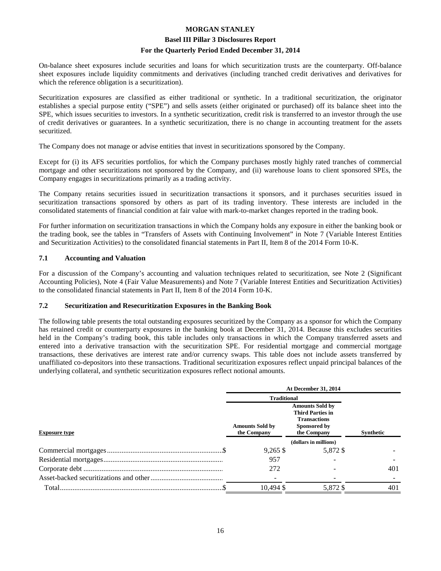#### **Basel III Pillar 3 Disclosures Report**

#### **For the Quarterly Period Ended December 31, 2014**

On-balance sheet exposures include securities and loans for which securitization trusts are the counterparty. Off-balance sheet exposures include liquidity commitments and derivatives (including tranched credit derivatives and derivatives for which the reference obligation is a securitization).

Securitization exposures are classified as either traditional or synthetic. In a traditional securitization, the originator establishes a special purpose entity ("SPE") and sells assets (either originated or purchased) off its balance sheet into the SPE, which issues securities to investors. In a synthetic securitization, credit risk is transferred to an investor through the use of credit derivatives or guarantees. In a synthetic securitization, there is no change in accounting treatment for the assets securitized.

The Company does not manage or advise entities that invest in securitizations sponsored by the Company.

Except for (i) its AFS securities portfolios, for which the Company purchases mostly highly rated tranches of commercial mortgage and other securitizations not sponsored by the Company, and (ii) warehouse loans to client sponsored SPEs, the Company engages in securitizations primarily as a trading activity.

The Company retains securities issued in securitization transactions it sponsors, and it purchases securities issued in securitization transactions sponsored by others as part of its trading inventory. These interests are included in the consolidated statements of financial condition at fair value with mark-to-market changes reported in the trading book.

For further information on securitization transactions in which the Company holds any exposure in either the banking book or the trading book, see the tables in "Transfers of Assets with Continuing Involvement" in Note 7 (Variable Interest Entities and Securitization Activities) to the consolidated financial statements in Part II, Item 8 of the 2014 Form 10-K.

#### **7.1 Accounting and Valuation**

For a discussion of the Company's accounting and valuation techniques related to securitization, see Note 2 (Significant Accounting Policies), Note 4 (Fair Value Measurements) and Note 7 (Variable Interest Entities and Securitization Activities) to the consolidated financial statements in Part II, Item 8 of the 2014 Form 10-K.

#### **7.2 Securitization and Resecuritization Exposures in the Banking Book**

The following table presents the total outstanding exposures securitized by the Company as a sponsor for which the Company has retained credit or counterparty exposures in the banking book at December 31, 2014. Because this excludes securities held in the Company's trading book, this table includes only transactions in which the Company transferred assets and entered into a derivative transaction with the securitization SPE. For residential mortgage and commercial mortgage transactions, these derivatives are interest rate and/or currency swaps. This table does not include assets transferred by unaffiliated co-depositors into these transactions. Traditional securitization exposures reflect unpaid principal balances of the underlying collateral, and synthetic securitization exposures reflect notional amounts.

|                      | At December 31, 2014                                                                                                                             |                       |                  |  |
|----------------------|--------------------------------------------------------------------------------------------------------------------------------------------------|-----------------------|------------------|--|
|                      | <b>Traditional</b>                                                                                                                               |                       |                  |  |
| <b>Exposure type</b> | <b>Amounts Sold by</b><br><b>Third Parties in</b><br><b>Transactions</b><br><b>Amounts Sold by</b><br>Sponsored by<br>the Company<br>the Company |                       | <b>Synthetic</b> |  |
|                      |                                                                                                                                                  | (dollars in millions) |                  |  |
|                      | $9,265$ \$                                                                                                                                       | 5.872 \$              |                  |  |
|                      | 957                                                                                                                                              |                       |                  |  |
|                      | 272                                                                                                                                              |                       | 401              |  |
|                      |                                                                                                                                                  |                       |                  |  |
|                      | 10.494 \$                                                                                                                                        | 5,872 \$              | 401              |  |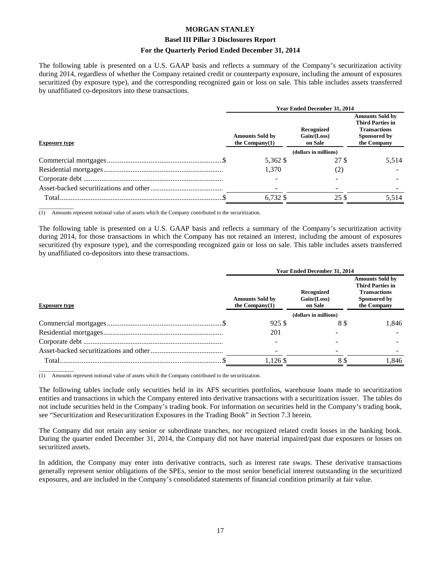#### **Basel III Pillar 3 Disclosures Report**

#### **For the Quarterly Period Ended December 31, 2014**

The following table is presented on a U.S. GAAP basis and reflects a summary of the Company's securitization activity during 2014, regardless of whether the Company retained credit or counterparty exposure, including the amount of exposures securitized (by exposure type), and the corresponding recognized gain or loss on sale. This table includes assets transferred by unaffiliated co-depositors into these transactions.

|                      | Year Ended December 31, 2014                                                          |       |                                                                                                         |  |
|----------------------|---------------------------------------------------------------------------------------|-------|---------------------------------------------------------------------------------------------------------|--|
| <b>Exposure type</b> | Recognized<br>Gain / (Loss)<br><b>Amounts Sold by</b><br>the Company $(1)$<br>on Sale |       | <b>Amounts Sold by</b><br><b>Third Parties in</b><br><b>Transactions</b><br>Sponsored by<br>the Company |  |
|                      | (dollars in millions)                                                                 |       |                                                                                                         |  |
|                      | 5,362 \$                                                                              | 27 \$ | 5,514                                                                                                   |  |
|                      | 1.370                                                                                 | (2)   |                                                                                                         |  |
|                      |                                                                                       |       |                                                                                                         |  |
|                      |                                                                                       |       |                                                                                                         |  |
|                      | 6.732 \$                                                                              | 25 \$ | 5.514                                                                                                   |  |

 $\overline{\phantom{a}}$  , where  $\overline{\phantom{a}}$ (1) Amounts represent notional value of assets which the Company contributed to the securitization.

The following table is presented on a U.S. GAAP basis and reflects a summary of the Company's securitization activity during 2014, for those transactions in which the Company has not retained an interest, including the amount of exposures securitized (by exposure type), and the corresponding recognized gain or loss on sale. This table includes assets transferred by unaffiliated co-depositors into these transactions.

|                      |                                             | Year Ended December 31, 2014         |                                                                                                         |  |
|----------------------|---------------------------------------------|--------------------------------------|---------------------------------------------------------------------------------------------------------|--|
| <b>Exposure type</b> | <b>Amounts Sold by</b><br>the $Common(v(1)$ | Recognized<br>Gain/(Loss)<br>on Sale | <b>Amounts Sold by</b><br><b>Third Parties in</b><br><b>Transactions</b><br>Sponsored by<br>the Company |  |
|                      |                                             | (dollars in millions)                |                                                                                                         |  |
|                      | 925 \$                                      | 88                                   | 1.846                                                                                                   |  |
|                      | 201                                         |                                      |                                                                                                         |  |
|                      |                                             |                                      |                                                                                                         |  |
|                      |                                             |                                      |                                                                                                         |  |
| Total.               | 1,126 \$                                    | 8 \$                                 | 1.846                                                                                                   |  |

(1) Amounts represent notional value of assets which the Company contributed to the securitization.

 $\overline{\phantom{a}}$  , where  $\overline{\phantom{a}}$ 

The following tables include only securities held in its AFS securities portfolios, warehouse loans made to securitization entities and transactions in which the Company entered into derivative transactions with a securitization issuer. The tables do not include securities held in the Company's trading book. For information on securities held in the Company's trading book, see "Securitization and Resecuritization Exposures in the Trading Book" in Section 7.3 herein.

The Company did not retain any senior or subordinate tranches, nor recognized related credit losses in the banking book. During the quarter ended December 31, 2014, the Company did not have material impaired/past due exposures or losses on securitized assets.

In addition, the Company may enter into derivative contracts, such as interest rate swaps. These derivative transactions generally represent senior obligations of the SPEs, senior to the most senior beneficial interest outstanding in the securitized exposures, and are included in the Company's consolidated statements of financial condition primarily at fair value.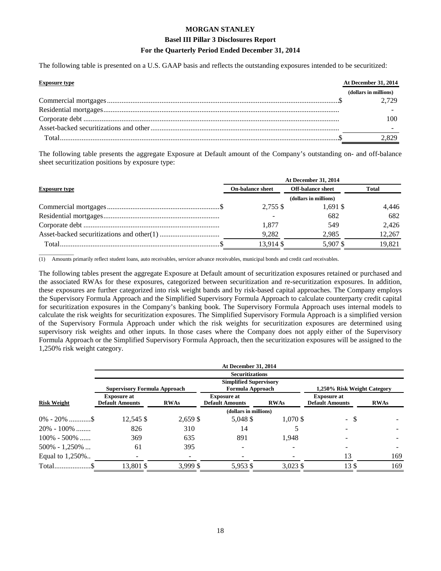#### **Basel III Pillar 3 Disclosures Report**

#### **For the Quarterly Period Ended December 31, 2014**

The following table is presented on a U.S. GAAP basis and reflects the outstanding exposures intended to be securitized:

| <b>Exposure type</b> | At December 31, 2014  |
|----------------------|-----------------------|
|                      | (dollars in millions) |
|                      | 2.729                 |
|                      |                       |
|                      |                       |
|                      |                       |
|                      | -829                  |

The following table presents the aggregate Exposure at Default amount of the Company's outstanding on- and off-balance sheet securitization positions by exposure type:

|                      | At December 31, 2014    |                          |              |  |
|----------------------|-------------------------|--------------------------|--------------|--|
| <b>Exposure type</b> | <b>On-balance sheet</b> | <b>Off-balance sheet</b> | <b>Total</b> |  |
|                      |                         | (dollars in millions)    |              |  |
|                      | $2.755$ \$              | $1.691$ \$               | 4,446        |  |
|                      |                         | 682                      | 682          |  |
|                      | 1.877                   | 549                      | 2.426        |  |
|                      | 9.282                   | 2,985                    | 12,267       |  |
|                      | 13,914 \$               | 5.907\$                  | 19.821       |  |

 $\overline{\phantom{a}}$  , where  $\overline{\phantom{a}}$ (1) Amounts primarily reflect student loans, auto receivables, servicer advance receivables, municipal bonds and credit card receivables.

The following tables present the aggregate Exposure at Default amount of securitization exposures retained or purchased and the associated RWAs for these exposures, categorized between securitization and re-securitization exposures. In addition, these exposures are further categorized into risk weight bands and by risk-based capital approaches. The Company employs the Supervisory Formula Approach and the Simplified Supervisory Formula Approach to calculate counterparty credit capital for securitization exposures in the Company's banking book. The Supervisory Formula Approach uses internal models to calculate the risk weights for securitization exposures. The Simplified Supervisory Formula Approach is a simplified version of the Supervisory Formula Approach under which the risk weights for securitization exposures are determined using supervisory risk weights and other inputs. In those cases where the Company does not apply either of the Supervisory Formula Approach or the Simplified Supervisory Formula Approach, then the securitization exposures will be assigned to the 1,250% risk weight category.

|                    |                                              |             | <b>At December 31, 2014</b>                       |             |                                              |             |
|--------------------|----------------------------------------------|-------------|---------------------------------------------------|-------------|----------------------------------------------|-------------|
|                    |                                              |             | <b>Securitizations</b>                            |             |                                              |             |
|                    | <b>Supervisory Formula Approach</b>          |             | <b>Simplified Supervisory</b><br>Formula Approach |             | 1,250% Risk Weight Category                  |             |
| <b>Risk Weight</b> | <b>Exposure at</b><br><b>Default Amounts</b> | <b>RWAs</b> | <b>Exposure at</b><br><b>Default Amounts</b>      | <b>RWAs</b> | <b>Exposure at</b><br><b>Default Amounts</b> | <b>RWAs</b> |
|                    |                                              |             | (dollars in millions)                             |             |                                              |             |
|                    | 12,545 \$                                    | 2,659 \$    | 5,048 \$                                          | 1,070 \$    | <sup>\$</sup><br>$\mathcal{L}^{\pm}$         |             |
| $20\% - 100\%$     | 826                                          | 310         | 14                                                |             |                                              |             |
| $100\% - 500\%$    | 369                                          | 635         | 891                                               | 1,948       |                                              |             |
| $500\% - 1,250\%$  | 61                                           | 395         |                                                   |             |                                              |             |
| Equal to 1,250%    |                                              |             |                                                   |             | 13                                           | 169         |
|                    | 13,801 \$                                    | 3,999 \$    | 5,953 \$                                          | 3,023 \$    | 13\$                                         | 169         |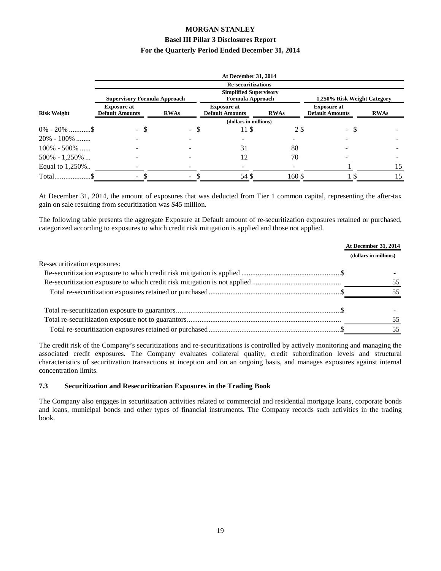|                    |                                              |             | <b>At December 31, 2014</b>                              |             |                                              |                             |
|--------------------|----------------------------------------------|-------------|----------------------------------------------------------|-------------|----------------------------------------------|-----------------------------|
|                    |                                              |             | <b>Re-securitizations</b>                                |             |                                              |                             |
|                    | <b>Supervisory Formula Approach</b>          |             | <b>Simplified Supervisory</b><br><b>Formula Approach</b> |             |                                              | 1,250% Risk Weight Category |
| <b>Risk Weight</b> | <b>Exposure at</b><br><b>Default Amounts</b> | <b>RWAs</b> | <b>Exposure at</b><br><b>Default Amounts</b>             | <b>RWAs</b> | <b>Exposure at</b><br><b>Default Amounts</b> | <b>RWAs</b>                 |
|                    | (dollars in millions)                        |             |                                                          |             |                                              |                             |
| $0\% - 20\%$ \$    | - \$                                         | - \$        | 11 \$                                                    | 2 S         | $\overline{\phantom{0}}$                     | S                           |
| $20\% - 100\%$     |                                              |             |                                                          |             |                                              |                             |
| $100\% - 500\%$    |                                              |             | 31                                                       | 88          |                                              |                             |
| $500\% - 1,250\%$  |                                              |             | 12                                                       | 70          |                                              |                             |
| Equal to 1,250%    |                                              |             |                                                          |             |                                              | 15                          |
|                    | Ξ.                                           | ۰.          | 54\$                                                     | 160\$       |                                              | 15                          |

At December 31, 2014, the amount of exposures that was deducted from Tier 1 common capital, representing the after-tax gain on sale resulting from securitization was \$45 million.

The following table presents the aggregate Exposure at Default amount of re-securitization exposures retained or purchased, categorized according to exposures to which credit risk mitigation is applied and those not applied.

|                              | At December 31, 2014  |
|------------------------------|-----------------------|
|                              | (dollars in millions) |
| Re-securitization exposures: |                       |
|                              |                       |
|                              | 55                    |
|                              | 55                    |
|                              |                       |
|                              | 55                    |
|                              | 55                    |

The credit risk of the Company's securitizations and re-securitizations is controlled by actively monitoring and managing the associated credit exposures. The Company evaluates collateral quality, credit subordination levels and structural characteristics of securitization transactions at inception and on an ongoing basis, and manages exposures against internal concentration limits.

#### **7.3 Securitization and Resecuritization Exposures in the Trading Book**

The Company also engages in securitization activities related to commercial and residential mortgage loans, corporate bonds and loans, municipal bonds and other types of financial instruments. The Company records such activities in the trading book.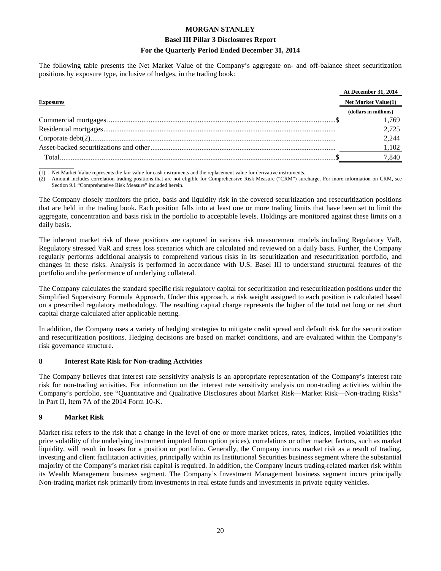#### **Basel III Pillar 3 Disclosures Report**

#### **For the Quarterly Period Ended December 31, 2014**

The following table presents the Net Market Value of the Company's aggregate on- and off-balance sheet securitization positions by exposure type, inclusive of hedges, in the trading book:

|                  | <b>At December 31, 2014</b> |
|------------------|-----------------------------|
| <b>Exposures</b> | Net Market Value(1)         |
|                  | (dollars in millions)       |
|                  | 1.769                       |
|                  | 2.725                       |
|                  | 2.244                       |
|                  | 1.102                       |
| Total            | 7,840                       |

 $\overline{\phantom{a}}$ (1) Net Market Value represents the fair value for cash instruments and the replacement value for derivative instruments.

(2) Amount includes correlation trading positions that are not eligible for Comprehensive Risk Measure ("CRM") surcharge. For more information on CRM, see Section 9.1 "Comprehensive Risk Measure" included herein.

The Company closely monitors the price, basis and liquidity risk in the covered securitization and resecuritization positions that are held in the trading book. Each position falls into at least one or more trading limits that have been set to limit the aggregate, concentration and basis risk in the portfolio to acceptable levels. Holdings are monitored against these limits on a daily basis.

The inherent market risk of these positions are captured in various risk measurement models including Regulatory VaR, Regulatory stressed VaR and stress loss scenarios which are calculated and reviewed on a daily basis. Further, the Company regularly performs additional analysis to comprehend various risks in its securitization and resecuritization portfolio, and changes in these risks. Analysis is performed in accordance with U.S. Basel III to understand structural features of the portfolio and the performance of underlying collateral.

The Company calculates the standard specific risk regulatory capital for securitization and resecuritization positions under the Simplified Supervisory Formula Approach. Under this approach, a risk weight assigned to each position is calculated based on a prescribed regulatory methodology. The resulting capital charge represents the higher of the total net long or net short capital charge calculated after applicable netting.

In addition, the Company uses a variety of hedging strategies to mitigate credit spread and default risk for the securitization and resecuritization positions. Hedging decisions are based on market conditions, and are evaluated within the Company's risk governance structure.

#### **8 Interest Rate Risk for Non-trading Activities**

The Company believes that interest rate sensitivity analysis is an appropriate representation of the Company's interest rate risk for non-trading activities. For information on the interest rate sensitivity analysis on non-trading activities within the Company's portfolio, see "Quantitative and Qualitative Disclosures about Market Risk—Market Risk—Non-trading Risks" in Part II, Item 7A of the 2014 Form 10-K.

#### **9 Market Risk**

Market risk refers to the risk that a change in the level of one or more market prices, rates, indices, implied volatilities (the price volatility of the underlying instrument imputed from option prices), correlations or other market factors, such as market liquidity, will result in losses for a position or portfolio. Generally, the Company incurs market risk as a result of trading, investing and client facilitation activities, principally within its Institutional Securities business segment where the substantial majority of the Company's market risk capital is required. In addition, the Company incurs trading-related market risk within its Wealth Management business segment. The Company's Investment Management business segment incurs principally Non-trading market risk primarily from investments in real estate funds and investments in private equity vehicles.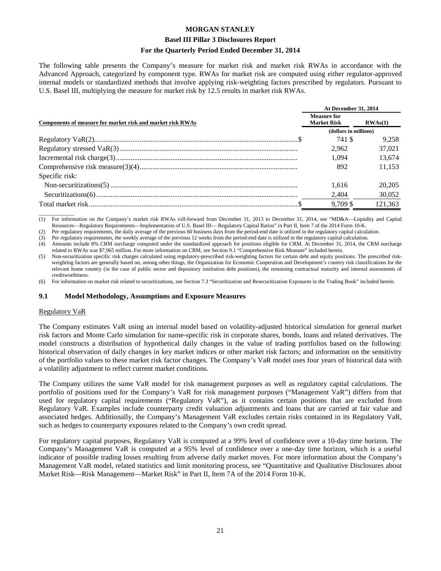#### **Basel III Pillar 3 Disclosures Report**

#### **For the Quarterly Period Ended December 31, 2014**

The following table presents the Company's measure for market risk and market risk RWAs in accordance with the Advanced Approach, categorized by component type. RWAs for market risk are computed using either regulator-approved internal models or standardized methods that involve applying risk-weighting factors prescribed by regulators. Pursuant to U.S. Basel III, multiplying the measure for market risk by 12.5 results in market risk RWAs.

|                                                            |                                          | At December 31, 2014 |  |
|------------------------------------------------------------|------------------------------------------|----------------------|--|
| Components of measure for market risk and market risk RWAs | <b>Measure for</b><br><b>Market Risk</b> | RWAs(1)              |  |
|                                                            | (dollars in millions)                    |                      |  |
|                                                            | 741 \$                                   | 9.258                |  |
|                                                            | 2.962                                    | 37,021               |  |
|                                                            | 1.094                                    | 13,674               |  |
|                                                            | 892                                      | 11.153               |  |
| Specific risk:                                             |                                          |                      |  |
|                                                            | 1.616                                    | 20,205               |  |
|                                                            | 2,404                                    | 30,052               |  |
|                                                            | 9.709 \$                                 | 121.363              |  |

 $\overline{\phantom{a}}$  , where  $\overline{\phantom{a}}$ (1) For information on the Company's market risk RWAs roll-forward from December 31, 2013 to December 31, 2014, see "MD&A—Liquidity and Capital Resources—Regulatory Requirements—Implementation of U.S. Basel III— Regulatory Capital Ratios" in Part II, Item 7 of the 2014 Form 10-K.

(2) Per regulatory requirements, the daily average of the previous 60 business days from the period-end date is utilized in the regulatory capital calculation.

(3) Per regulatory requirements, the weekly average of the previous 12 weeks from the period-end date is utilized in the regulatory capital calculation.

(4) Amounts include 8% CRM surcharge computed under the standardized approach for positions eligible for CRM. At December 31, 2014, the CRM surcharge related to RWAs was \$7,965 million. For more information on CRM, see Section 9.1 "Comprehensive Risk Measure" included herein.

(5) Non-securitization specific risk charges calculated using regulatory-prescribed risk-weighting factors for certain debt and equity positions. The prescribed riskweighting factors are generally based on, among other things, the Organization for Economic Cooperation and Development's country risk classifications for the relevant home country (in the case of public sector and depository institution debt positions), the remaining contractual maturity and internal assessments of creditworthiness.

(6) For information on market risk related to securitizations, see Section 7.3 "Securitization and Resecuritization Exposures in the Trading Book" included herein.

#### **9.1 Model Methodology, Assumptions and Exposure Measures**

#### Regulatory VaR

The Company estimates VaR using an internal model based on volatility-adjusted historical simulation for general market risk factors and Monte Carlo simulation for name-specific risk in corporate shares, bonds, loans and related derivatives. The model constructs a distribution of hypothetical daily changes in the value of trading portfolios based on the following: historical observation of daily changes in key market indices or other market risk factors; and information on the sensitivity of the portfolio values to these market risk factor changes. The Company's VaR model uses four years of historical data with a volatility adjustment to reflect current market conditions.

The Company utilizes the same VaR model for risk management purposes as well as regulatory capital calculations. The portfolio of positions used for the Company's VaR for risk management purposes ("Management VaR") differs from that used for regulatory capital requirements ("Regulatory VaR"), as it contains certain positions that are excluded from Regulatory VaR. Examples include counterparty credit valuation adjustments and loans that are carried at fair value and associated hedges. Additionally, the Company's Management VaR excludes certain risks contained in its Regulatory VaR, such as hedges to counterparty exposures related to the Company's own credit spread.

For regulatory capital purposes, Regulatory VaR is computed at a 99% level of confidence over a 10-day time horizon. The Company's Management VaR is computed at a 95% level of confidence over a one-day time horizon, which is a useful indicator of possible trading losses resulting from adverse daily market moves. For more information about the Company's Management VaR model, related statistics and limit monitoring process, see "Quantitative and Qualitative Disclosures about Market Risk—Risk Management—Market Risk" in Part II, Item 7A of the 2014 Form 10-K.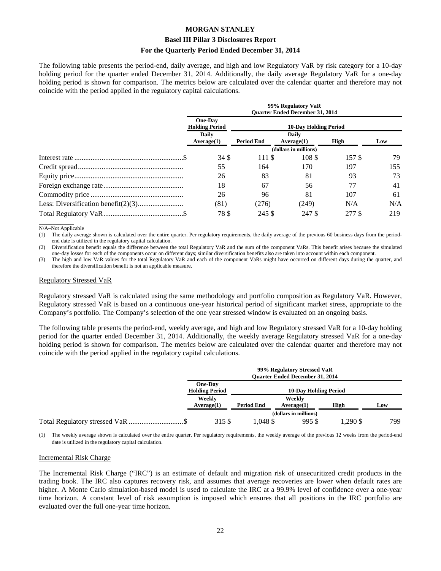#### **Basel III Pillar 3 Disclosures Report**

#### **For the Quarterly Period Ended December 31, 2014**

The following table presents the period-end, daily average, and high and low Regulatory VaR by risk category for a 10-day holding period for the quarter ended December 31, 2014. Additionally, the daily average Regulatory VaR for a one-day holding period is shown for comparison. The metrics below are calculated over the calendar quarter and therefore may not coincide with the period applied in the regulatory capital calculations.

| 99% Regulatory VaR<br><b>Ouarter Ended December 31, 2014</b> |                              |                     |        |     |
|--------------------------------------------------------------|------------------------------|---------------------|--------|-----|
| <b>One-Day</b><br><b>Holding Period</b>                      | <b>10-Day Holding Period</b> |                     |        |     |
| <b>Daily</b><br>Average(1)                                   | <b>Period End</b>            | Daily<br>Average(1) | High   | Low |
| (dollars in millions)                                        |                              |                     |        |     |
| 34 S                                                         | 111\\$                       | 108 \$              | 157 \$ | 79  |
| 55                                                           | 164                          | 170                 | 197    | 155 |
| 26                                                           | 83                           | 81                  | 93     | 73  |
| 18                                                           | 67                           | 56                  | 77     | 41  |
| 26                                                           | 96                           | 81                  | 107    | 61  |
| (81)                                                         | (276)                        | (249)               | N/A    | N/A |
| 78 S                                                         | 245 \$                       | 247 \$              | 277 \$ | 219 |

 $\overline{\phantom{a}}$  , where  $\overline{\phantom{a}}$ N/A–Not Applicable

(1) The daily average shown is calculated over the entire quarter. Per regulatory requirements, the daily average of the previous 60 business days from the periodend date is utilized in the regulatory capital calculation.

(2) Diversification benefit equals the difference between the total Regulatory VaR and the sum of the component VaRs. This benefit arises because the simulated one-day losses for each of the components occur on different days; similar diversification benefits also are taken into account within each component.

(3) The high and low VaR values for the total Regulatory VaR and each of the component VaRs might have occurred on different days during the quarter, and therefore the diversification benefit is not an applicable measure.

#### Regulatory Stressed VaR

Regulatory stressed VaR is calculated using the same methodology and portfolio composition as Regulatory VaR. However, Regulatory stressed VaR is based on a continuous one-year historical period of significant market stress, appropriate to the Company's portfolio. The Company's selection of the one year stressed window is evaluated on an ongoing basis.

The following table presents the period-end, weekly average, and high and low Regulatory stressed VaR for a 10-day holding period for the quarter ended December 31, 2014. Additionally, the weekly average Regulatory stressed VaR for a one-day holding period is shown for comparison. The metrics below are calculated over the calendar quarter and therefore may not coincide with the period applied in the regulatory capital calculations.

| 99% Regulatory Stressed VaR<br><b>Ouarter Ended December 31, 2014</b> |                              |                      |         |     |
|-----------------------------------------------------------------------|------------------------------|----------------------|---------|-----|
| <b>One-Day</b><br><b>Holding Period</b>                               | <b>10-Day Holding Period</b> |                      |         |     |
| Weekly<br>Average(1)                                                  | <b>Period End</b>            | Weekly<br>Average(1) | High    | Low |
|                                                                       | (dollars in millions)        |                      |         |     |
| 315 \$                                                                | .048 \$                      | 995 \$               | .290 \$ | 799 |

(1) The weekly average shown is calculated over the entire quarter. Per regulatory requirements, the weekly average of the previous 12 weeks from the period-end date is utilized in the regulatory capital calculation.

#### Incremental Risk Charge

 $\overline{\phantom{a}}$  , where  $\overline{\phantom{a}}$ 

The Incremental Risk Charge ("IRC") is an estimate of default and migration risk of unsecuritized credit products in the trading book. The IRC also captures recovery risk, and assumes that average recoveries are lower when default rates are higher. A Monte Carlo simulation-based model is used to calculate the IRC at a 99.9% level of confidence over a one-year time horizon. A constant level of risk assumption is imposed which ensures that all positions in the IRC portfolio are evaluated over the full one-year time horizon.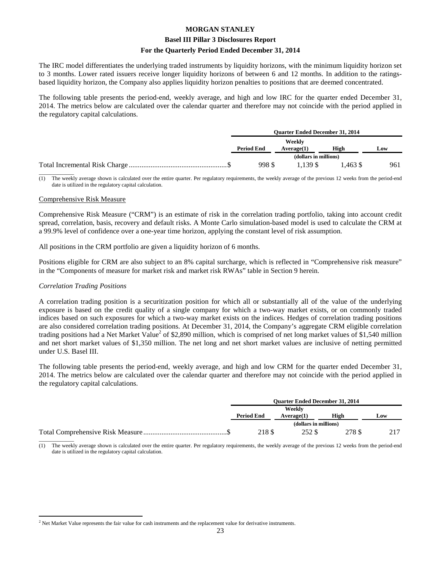#### **Basel III Pillar 3 Disclosures Report**

#### **For the Quarterly Period Ended December 31, 2014**

The IRC model differentiates the underlying traded instruments by liquidity horizons, with the minimum liquidity horizon set to 3 months. Lower rated issuers receive longer liquidity horizons of between 6 and 12 months. In addition to the ratingsbased liquidity horizon, the Company also applies liquidity horizon penalties to positions that are deemed concentrated.

The following table presents the period-end, weekly average, and high and low IRC for the quarter ended December 31, 2014. The metrics below are calculated over the calendar quarter and therefore may not coincide with the period applied in the regulatory capital calculations.

| <b>Ouarter Ended December 31, 2014</b> |                       |           |     |
|----------------------------------------|-----------------------|-----------|-----|
| <b>Period End</b>                      | Weekly<br>Average(1)  | High      | Low |
|                                        | (dollars in millions) |           |     |
| 998 \$                                 | 1.139.\$              | $.463$ \$ | 961 |
|                                        |                       |           |     |

The weekly average shown is calculated over the entire quarter. Per regulatory requirements, the weekly average of the previous 12 weeks from the period-end date is utilized in the regulatory capital calculation.

#### Comprehensive Risk Measure

Comprehensive Risk Measure ("CRM") is an estimate of risk in the correlation trading portfolio, taking into account credit spread, correlation, basis, recovery and default risks. A Monte Carlo simulation-based model is used to calculate the CRM at a 99.9% level of confidence over a one-year time horizon, applying the constant level of risk assumption.

All positions in the CRM portfolio are given a liquidity horizon of 6 months.

Positions eligible for CRM are also subject to an 8% capital surcharge, which is reflected in "Comprehensive risk measure" in the "Components of measure for market risk and market risk RWAs" table in Section 9 herein.

#### *Correlation Trading Positions*

A correlation trading position is a securitization position for which all or substantially all of the value of the underlying exposure is based on the credit quality of a single company for which a two-way market exists, or on commonly traded indices based on such exposures for which a two-way market exists on the indices. Hedges of correlation trading positions are also considered correlation trading positions. At December 31, 2014, the Company's aggregate CRM eligible correlation trading positions had a Net Market Value<sup>2</sup> of \$2,890 million, which is comprised of net long market values of \$1,540 million and net short market values of \$1,350 million. The net long and net short market values are inclusive of netting permitted under U.S. Basel III.

The following table presents the period-end, weekly average, and high and low CRM for the quarter ended December 31, 2014. The metrics below are calculated over the calendar quarter and therefore may not coincide with the period applied in the regulatory capital calculations.

| <b>Ouarter Ended December 31, 2014</b> |                       |        |     |  |
|----------------------------------------|-----------------------|--------|-----|--|
| Weekly                                 |                       |        |     |  |
| <b>Period End</b>                      | Average(1)            | High   | Low |  |
|                                        | (dollars in millions) |        |     |  |
| 218 \$                                 | 252 S                 | 278 \$ | 217 |  |
|                                        |                       |        |     |  |

The weekly average shown is calculated over the entire quarter. Per regulatory requirements, the weekly average of the previous 12 weeks from the period-end date is utilized in the regulatory capital calculation.

 $\overline{a}$  $<sup>2</sup>$  Net Market Value represents the fair value for cash instruments and the replacement value for derivative instruments.</sup>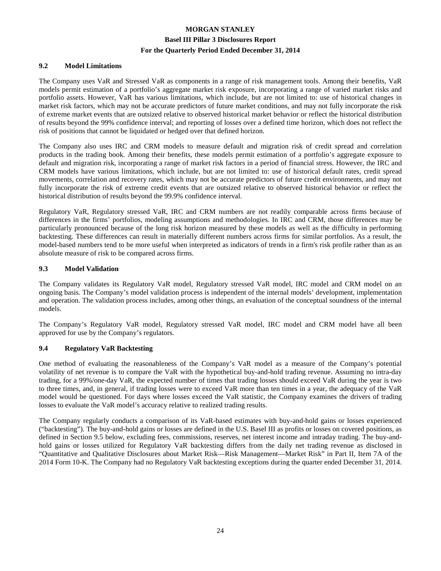#### **9.2 Model Limitations**

The Company uses VaR and Stressed VaR as components in a range of risk management tools. Among their benefits, VaR models permit estimation of a portfolio's aggregate market risk exposure, incorporating a range of varied market risks and portfolio assets. However, VaR has various limitations, which include, but are not limited to: use of historical changes in market risk factors, which may not be accurate predictors of future market conditions, and may not fully incorporate the risk of extreme market events that are outsized relative to observed historical market behavior or reflect the historical distribution of results beyond the 99% confidence interval; and reporting of losses over a defined time horizon, which does not reflect the risk of positions that cannot be liquidated or hedged over that defined horizon.

The Company also uses IRC and CRM models to measure default and migration risk of credit spread and correlation products in the trading book. Among their benefits, these models permit estimation of a portfolio's aggregate exposure to default and migration risk, incorporating a range of market risk factors in a period of financial stress. However, the IRC and CRM models have various limitations, which include, but are not limited to: use of historical default rates, credit spread movements, correlation and recovery rates, which may not be accurate predictors of future credit environments, and may not fully incorporate the risk of extreme credit events that are outsized relative to observed historical behavior or reflect the historical distribution of results beyond the 99.9% confidence interval.

Regulatory VaR, Regulatory stressed VaR, IRC and CRM numbers are not readily comparable across firms because of differences in the firms' portfolios, modeling assumptions and methodologies. In IRC and CRM, those differences may be particularly pronounced because of the long risk horizon measured by these models as well as the difficulty in performing backtesting. These differences can result in materially different numbers across firms for similar portfolios. As a result, the model-based numbers tend to be more useful when interpreted as indicators of trends in a firm's risk profile rather than as an absolute measure of risk to be compared across firms.

#### **9.3 Model Validation**

The Company validates its Regulatory VaR model, Regulatory stressed VaR model, IRC model and CRM model on an ongoing basis. The Company's model validation process is independent of the internal models' development, implementation and operation. The validation process includes, among other things, an evaluation of the conceptual soundness of the internal models.

The Company's Regulatory VaR model, Regulatory stressed VaR model, IRC model and CRM model have all been approved for use by the Company's regulators.

#### **9.4 Regulatory VaR Backtesting**

One method of evaluating the reasonableness of the Company's VaR model as a measure of the Company's potential volatility of net revenue is to compare the VaR with the hypothetical buy-and-hold trading revenue. Assuming no intra-day trading, for a 99%/one-day VaR, the expected number of times that trading losses should exceed VaR during the year is two to three times, and, in general, if trading losses were to exceed VaR more than ten times in a year, the adequacy of the VaR model would be questioned. For days where losses exceed the VaR statistic, the Company examines the drivers of trading losses to evaluate the VaR model's accuracy relative to realized trading results.

The Company regularly conducts a comparison of its VaR-based estimates with buy-and-hold gains or losses experienced ("backtesting"). The buy-and-hold gains or losses are defined in the U.S. Basel III as profits or losses on covered positions, as defined in Section 9.5 below, excluding fees, commissions, reserves, net interest income and intraday trading. The buy-andhold gains or losses utilized for Regulatory VaR backtesting differs from the daily net trading revenue as disclosed in "Quantitative and Qualitative Disclosures about Market Risk—Risk Management—Market Risk" in Part II, Item 7A of the 2014 Form 10-K. The Company had no Regulatory VaR backtesting exceptions during the quarter ended December 31, 2014.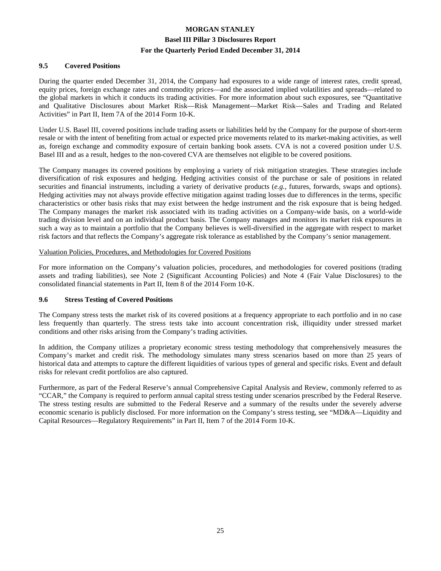#### **9.5 Covered Positions**

During the quarter ended December 31, 2014, the Company had exposures to a wide range of interest rates, credit spread, equity prices, foreign exchange rates and commodity prices—and the associated implied volatilities and spreads—related to the global markets in which it conducts its trading activities. For more information about such exposures, see "Quantitative and Qualitative Disclosures about Market Risk—Risk Management—Market Risk—Sales and Trading and Related Activities" in Part II, Item 7A of the 2014 Form 10-K.

Under U.S. Basel III, covered positions include trading assets or liabilities held by the Company for the purpose of short-term resale or with the intent of benefiting from actual or expected price movements related to its market-making activities, as well as, foreign exchange and commodity exposure of certain banking book assets. CVA is not a covered position under U.S. Basel III and as a result, hedges to the non-covered CVA are themselves not eligible to be covered positions.

The Company manages its covered positions by employing a variety of risk mitigation strategies. These strategies include diversification of risk exposures and hedging. Hedging activities consist of the purchase or sale of positions in related securities and financial instruments, including a variety of derivative products (*e.g.*, futures, forwards, swaps and options). Hedging activities may not always provide effective mitigation against trading losses due to differences in the terms, specific characteristics or other basis risks that may exist between the hedge instrument and the risk exposure that is being hedged. The Company manages the market risk associated with its trading activities on a Company-wide basis, on a world-wide trading division level and on an individual product basis. The Company manages and monitors its market risk exposures in such a way as to maintain a portfolio that the Company believes is well-diversified in the aggregate with respect to market risk factors and that reflects the Company's aggregate risk tolerance as established by the Company's senior management.

#### Valuation Policies, Procedures, and Methodologies for Covered Positions

For more information on the Company's valuation policies, procedures, and methodologies for covered positions (trading assets and trading liabilities), see Note 2 (Significant Accounting Policies) and Note 4 (Fair Value Disclosures) to the consolidated financial statements in Part II, Item 8 of the 2014 Form 10-K.

#### **9.6 Stress Testing of Covered Positions**

The Company stress tests the market risk of its covered positions at a frequency appropriate to each portfolio and in no case less frequently than quarterly. The stress tests take into account concentration risk, illiquidity under stressed market conditions and other risks arising from the Company's trading activities.

In addition, the Company utilizes a proprietary economic stress testing methodology that comprehensively measures the Company's market and credit risk. The methodology simulates many stress scenarios based on more than 25 years of historical data and attempts to capture the different liquidities of various types of general and specific risks. Event and default risks for relevant credit portfolios are also captured.

Furthermore, as part of the Federal Reserve's annual Comprehensive Capital Analysis and Review, commonly referred to as "CCAR," the Company is required to perform annual capital stress testing under scenarios prescribed by the Federal Reserve. The stress testing results are submitted to the Federal Reserve and a summary of the results under the severely adverse economic scenario is publicly disclosed. For more information on the Company's stress testing, see "MD&A—Liquidity and Capital Resources—Regulatory Requirements" in Part II, Item 7 of the 2014 Form 10-K.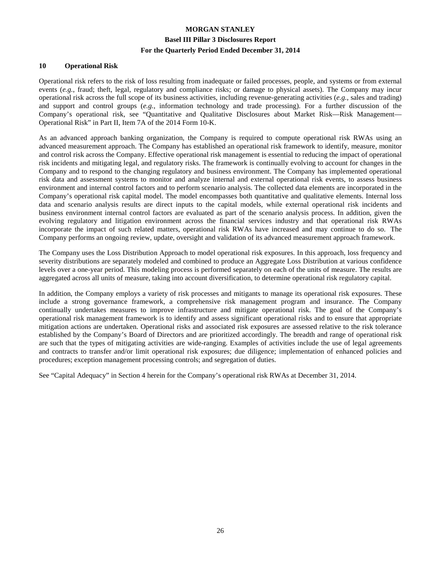#### **10 Operational Risk**

Operational risk refers to the risk of loss resulting from inadequate or failed processes, people, and systems or from external events (*e.g.*, fraud; theft, legal, regulatory and compliance risks; or damage to physical assets). The Company may incur operational risk across the full scope of its business activities, including revenue-generating activities (*e.g.*, sales and trading) and support and control groups (*e.g.*, information technology and trade processing). For a further discussion of the Company's operational risk, see "Quantitative and Qualitative Disclosures about Market Risk—Risk Management— Operational Risk" in Part II, Item 7A of the 2014 Form 10-K.

As an advanced approach banking organization, the Company is required to compute operational risk RWAs using an advanced measurement approach. The Company has established an operational risk framework to identify, measure, monitor and control risk across the Company. Effective operational risk management is essential to reducing the impact of operational risk incidents and mitigating legal, and regulatory risks. The framework is continually evolving to account for changes in the Company and to respond to the changing regulatory and business environment. The Company has implemented operational risk data and assessment systems to monitor and analyze internal and external operational risk events, to assess business environment and internal control factors and to perform scenario analysis. The collected data elements are incorporated in the Company's operational risk capital model. The model encompasses both quantitative and qualitative elements. Internal loss data and scenario analysis results are direct inputs to the capital models, while external operational risk incidents and business environment internal control factors are evaluated as part of the scenario analysis process. In addition, given the evolving regulatory and litigation environment across the financial services industry and that operational risk RWAs incorporate the impact of such related matters, operational risk RWAs have increased and may continue to do so. The Company performs an ongoing review, update, oversight and validation of its advanced measurement approach framework.

The Company uses the Loss Distribution Approach to model operational risk exposures. In this approach, loss frequency and severity distributions are separately modeled and combined to produce an Aggregate Loss Distribution at various confidence levels over a one-year period. This modeling process is performed separately on each of the units of measure. The results are aggregated across all units of measure, taking into account diversification, to determine operational risk regulatory capital.

In addition, the Company employs a variety of risk processes and mitigants to manage its operational risk exposures. These include a strong governance framework, a comprehensive risk management program and insurance. The Company continually undertakes measures to improve infrastructure and mitigate operational risk. The goal of the Company's operational risk management framework is to identify and assess significant operational risks and to ensure that appropriate mitigation actions are undertaken. Operational risks and associated risk exposures are assessed relative to the risk tolerance established by the Company's Board of Directors and are prioritized accordingly. The breadth and range of operational risk are such that the types of mitigating activities are wide-ranging. Examples of activities include the use of legal agreements and contracts to transfer and/or limit operational risk exposures; due diligence; implementation of enhanced policies and procedures; exception management processing controls; and segregation of duties.

See "Capital Adequacy" in Section 4 herein for the Company's operational risk RWAs at December 31, 2014.